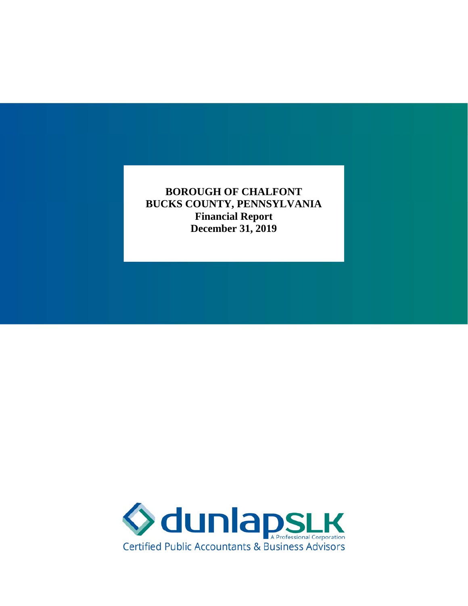**BOROUGH OF CHALFONT BUCKS COUNTY, PENNSYLVANIA Financial Report December 31, 2019** 

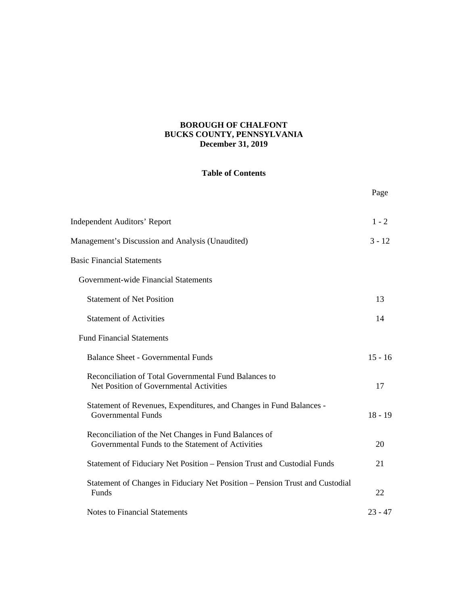# **BOROUGH OF CHALFONT BUCKS COUNTY, PENNSYLVANIA December 31, 2019**

# **Table of Contents**

|                                                                                                            | Page      |
|------------------------------------------------------------------------------------------------------------|-----------|
| <b>Independent Auditors' Report</b>                                                                        | $1 - 2$   |
| Management's Discussion and Analysis (Unaudited)                                                           | $3 - 12$  |
| <b>Basic Financial Statements</b>                                                                          |           |
| Government-wide Financial Statements                                                                       |           |
| <b>Statement of Net Position</b>                                                                           | 13        |
| <b>Statement of Activities</b>                                                                             | 14        |
| <b>Fund Financial Statements</b>                                                                           |           |
| <b>Balance Sheet - Governmental Funds</b>                                                                  | $15 - 16$ |
| Reconciliation of Total Governmental Fund Balances to<br>Net Position of Governmental Activities           | 17        |
| Statement of Revenues, Expenditures, and Changes in Fund Balances -<br><b>Governmental Funds</b>           | $18 - 19$ |
| Reconciliation of the Net Changes in Fund Balances of<br>Governmental Funds to the Statement of Activities | 20        |
| Statement of Fiduciary Net Position - Pension Trust and Custodial Funds                                    | 21        |
| Statement of Changes in Fiduciary Net Position - Pension Trust and Custodial<br>Funds                      | 22        |
| <b>Notes to Financial Statements</b>                                                                       | $23 - 47$ |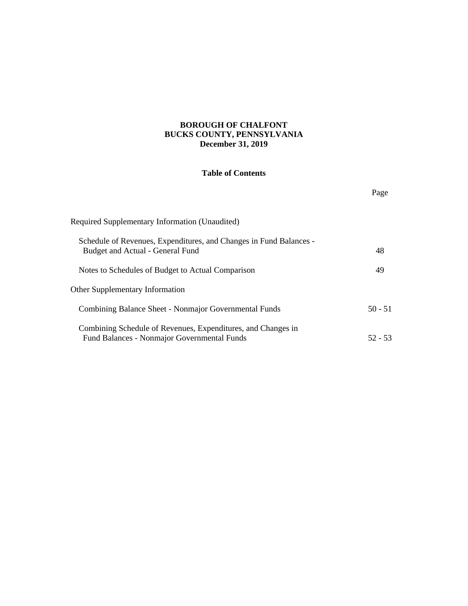# **BOROUGH OF CHALFONT BUCKS COUNTY, PENNSYLVANIA December 31, 2019**

# **Table of Contents**

|                                                                                                                    | Page      |
|--------------------------------------------------------------------------------------------------------------------|-----------|
| Required Supplementary Information (Unaudited)                                                                     |           |
| Schedule of Revenues, Expenditures, and Changes in Fund Balances -<br>Budget and Actual - General Fund             | 48        |
| Notes to Schedules of Budget to Actual Comparison                                                                  | 49        |
| <b>Other Supplementary Information</b>                                                                             |           |
| Combining Balance Sheet - Nonmajor Governmental Funds                                                              | $50 - 51$ |
| Combining Schedule of Revenues, Expenditures, and Changes in<br><b>Fund Balances - Nonmajor Governmental Funds</b> | $52 - 53$ |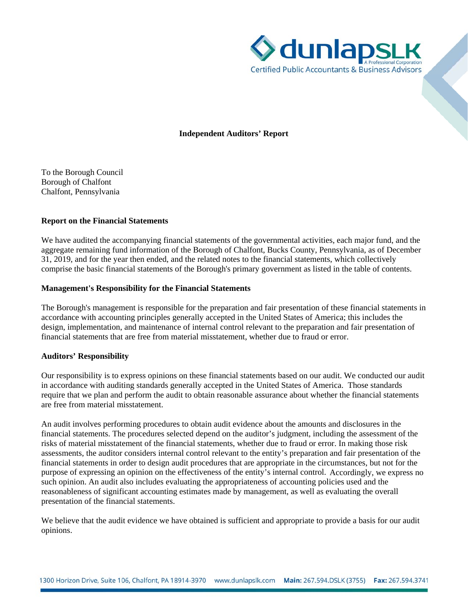

#### **Independent Auditors' Report**

To the Borough Council Borough of Chalfont Chalfont, Pennsylvania

#### **Report on the Financial Statements**

We have audited the accompanying financial statements of the governmental activities, each major fund, and the aggregate remaining fund information of the Borough of Chalfont, Bucks County, Pennsylvania, as of December 31, 2019, and for the year then ended, and the related notes to the financial statements, which collectively comprise the basic financial statements of the Borough's primary government as listed in the table of contents.

#### **Management's Responsibility for the Financial Statements**

The Borough's management is responsible for the preparation and fair presentation of these financial statements in accordance with accounting principles generally accepted in the United States of America; this includes the design, implementation, and maintenance of internal control relevant to the preparation and fair presentation of financial statements that are free from material misstatement, whether due to fraud or error.

#### **Auditors' Responsibility**

Our responsibility is to express opinions on these financial statements based on our audit. We conducted our audit in accordance with auditing standards generally accepted in the United States of America. Those standards require that we plan and perform the audit to obtain reasonable assurance about whether the financial statements are free from material misstatement.

An audit involves performing procedures to obtain audit evidence about the amounts and disclosures in the financial statements. The procedures selected depend on the auditor's judgment, including the assessment of the risks of material misstatement of the financial statements, whether due to fraud or error. In making those risk assessments, the auditor considers internal control relevant to the entity's preparation and fair presentation of the financial statements in order to design audit procedures that are appropriate in the circumstances, but not for the purpose of expressing an opinion on the effectiveness of the entity's internal control. Accordingly, we express no such opinion. An audit also includes evaluating the appropriateness of accounting policies used and the reasonableness of significant accounting estimates made by management, as well as evaluating the overall presentation of the financial statements.

We believe that the audit evidence we have obtained is sufficient and appropriate to provide a basis for our audit opinions.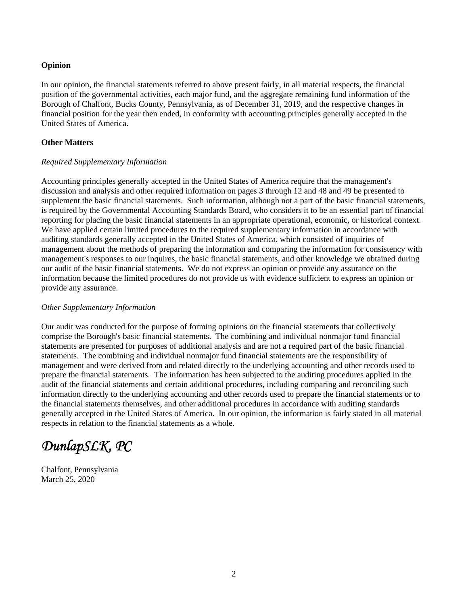# **Opinion**

In our opinion, the financial statements referred to above present fairly, in all material respects, the financial position of the governmental activities, each major fund, and the aggregate remaining fund information of the Borough of Chalfont, Bucks County, Pennsylvania, as of December 31, 2019, and the respective changes in financial position for the year then ended, in conformity with accounting principles generally accepted in the United States of America.

# **Other Matters**

### *Required Supplementary Information*

Accounting principles generally accepted in the United States of America require that the management's discussion and analysis and other required information on pages 3 through 12 and 48 and 49 be presented to supplement the basic financial statements. Such information, although not a part of the basic financial statements, is required by the Governmental Accounting Standards Board, who considers it to be an essential part of financial reporting for placing the basic financial statements in an appropriate operational, economic, or historical context. We have applied certain limited procedures to the required supplementary information in accordance with auditing standards generally accepted in the United States of America, which consisted of inquiries of management about the methods of preparing the information and comparing the information for consistency with management's responses to our inquires, the basic financial statements, and other knowledge we obtained during our audit of the basic financial statements. We do not express an opinion or provide any assurance on the information because the limited procedures do not provide us with evidence sufficient to express an opinion or provide any assurance.

### *Other Supplementary Information*

Our audit was conducted for the purpose of forming opinions on the financial statements that collectively comprise the Borough's basic financial statements. The combining and individual nonmajor fund financial statements are presented for purposes of additional analysis and are not a required part of the basic financial statements. The combining and individual nonmajor fund financial statements are the responsibility of management and were derived from and related directly to the underlying accounting and other records used to prepare the financial statements. The information has been subjected to the auditing procedures applied in the audit of the financial statements and certain additional procedures, including comparing and reconciling such information directly to the underlying accounting and other records used to prepare the financial statements or to the financial statements themselves, and other additional procedures in accordance with auditing standards generally accepted in the United States of America. In our opinion, the information is fairly stated in all material respects in relation to the financial statements as a whole.

# *DunlapSLK, PC*

Chalfont, Pennsylvania March 25, 2020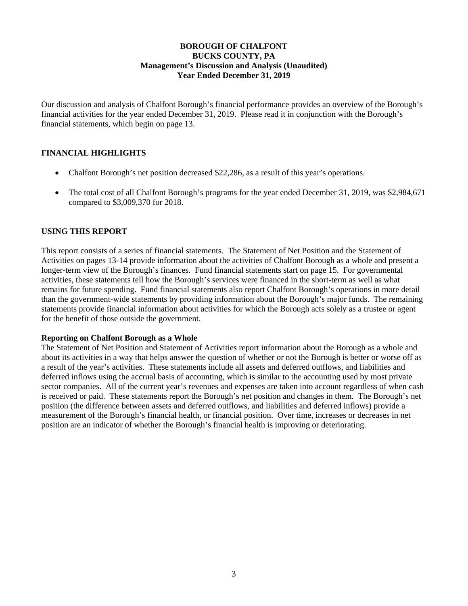Our discussion and analysis of Chalfont Borough's financial performance provides an overview of the Borough's financial activities for the year ended December 31, 2019. Please read it in conjunction with the Borough's financial statements, which begin on page 13.

# **FINANCIAL HIGHLIGHTS**

- Chalfont Borough's net position decreased \$22,286, as a result of this year's operations.
- The total cost of all Chalfont Borough's programs for the year ended December 31, 2019, was \$2,984,671 compared to \$3,009,370 for 2018.

# **USING THIS REPORT**

This report consists of a series of financial statements. The Statement of Net Position and the Statement of Activities on pages 13-14 provide information about the activities of Chalfont Borough as a whole and present a longer-term view of the Borough's finances. Fund financial statements start on page 15. For governmental activities, these statements tell how the Borough's services were financed in the short-term as well as what remains for future spending. Fund financial statements also report Chalfont Borough's operations in more detail than the government-wide statements by providing information about the Borough's major funds. The remaining statements provide financial information about activities for which the Borough acts solely as a trustee or agent for the benefit of those outside the government.

### **Reporting on Chalfont Borough as a Whole**

The Statement of Net Position and Statement of Activities report information about the Borough as a whole and about its activities in a way that helps answer the question of whether or not the Borough is better or worse off as a result of the year's activities. These statements include all assets and deferred outflows, and liabilities and deferred inflows using the accrual basis of accounting, which is similar to the accounting used by most private sector companies. All of the current year's revenues and expenses are taken into account regardless of when cash is received or paid. These statements report the Borough's net position and changes in them. The Borough's net position (the difference between assets and deferred outflows, and liabilities and deferred inflows) provide a measurement of the Borough's financial health, or financial position. Over time, increases or decreases in net position are an indicator of whether the Borough's financial health is improving or deteriorating.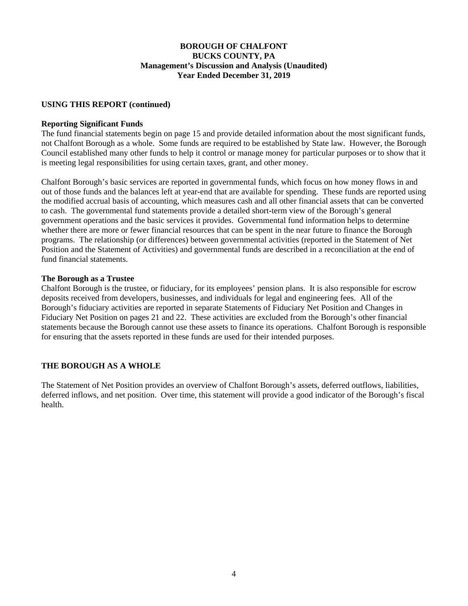#### **USING THIS REPORT (continued)**

#### **Reporting Significant Funds**

The fund financial statements begin on page 15 and provide detailed information about the most significant funds, not Chalfont Borough as a whole. Some funds are required to be established by State law. However, the Borough Council established many other funds to help it control or manage money for particular purposes or to show that it is meeting legal responsibilities for using certain taxes, grant, and other money.

Chalfont Borough's basic services are reported in governmental funds, which focus on how money flows in and out of those funds and the balances left at year-end that are available for spending. These funds are reported using the modified accrual basis of accounting, which measures cash and all other financial assets that can be converted to cash. The governmental fund statements provide a detailed short-term view of the Borough's general government operations and the basic services it provides. Governmental fund information helps to determine whether there are more or fewer financial resources that can be spent in the near future to finance the Borough programs. The relationship (or differences) between governmental activities (reported in the Statement of Net Position and the Statement of Activities) and governmental funds are described in a reconciliation at the end of fund financial statements.

#### **The Borough as a Trustee**

Chalfont Borough is the trustee, or fiduciary, for its employees' pension plans. It is also responsible for escrow deposits received from developers, businesses, and individuals for legal and engineering fees. All of the Borough's fiduciary activities are reported in separate Statements of Fiduciary Net Position and Changes in Fiduciary Net Position on pages 21 and 22. These activities are excluded from the Borough's other financial statements because the Borough cannot use these assets to finance its operations. Chalfont Borough is responsible for ensuring that the assets reported in these funds are used for their intended purposes.

### **THE BOROUGH AS A WHOLE**

The Statement of Net Position provides an overview of Chalfont Borough's assets, deferred outflows, liabilities, deferred inflows, and net position. Over time, this statement will provide a good indicator of the Borough's fiscal health.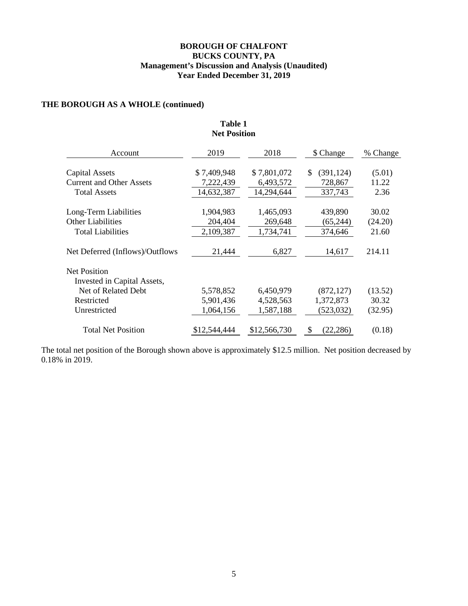# **THE BOROUGH AS A WHOLE (continued)**

| Account                         | 2019         | 2018         | \$ Change        | % Change |
|---------------------------------|--------------|--------------|------------------|----------|
| <b>Capital Assets</b>           | \$7,409,948  | \$7,801,072  | \$<br>(391, 124) | (5.01)   |
| <b>Current and Other Assets</b> | 7,222,439    | 6,493,572    | 728,867          | 11.22    |
| <b>Total Assets</b>             | 14,632,387   | 14,294,644   | 337,743          | 2.36     |
|                                 |              |              |                  |          |
| Long-Term Liabilities           | 1,904,983    | 1,465,093    | 439,890          | 30.02    |
| <b>Other Liabilities</b>        | 204,404      | 269,648      | (65, 244)        | (24.20)  |
| <b>Total Liabilities</b>        | 2,109,387    | 1,734,741    | 374,646          | 21.60    |
| Net Deferred (Inflows)/Outflows | 21,444       | 6,827        | 14,617           | 214.11   |
| <b>Net Position</b>             |              |              |                  |          |
| Invested in Capital Assets,     |              |              |                  |          |
| Net of Related Debt             | 5,578,852    | 6,450,979    | (872, 127)       | (13.52)  |
| Restricted                      | 5,901,436    | 4,528,563    | 1,372,873        | 30.32    |
| Unrestricted                    | 1,064,156    | 1,587,188    | (523, 032)       | (32.95)  |
| <b>Total Net Position</b>       | \$12,544,444 | \$12,566,730 | \$<br>(22, 286)  | (0.18)   |

#### **Table 1 Net Position**

The total net position of the Borough shown above is approximately \$12.5 million. Net position decreased by 0.18% in 2019.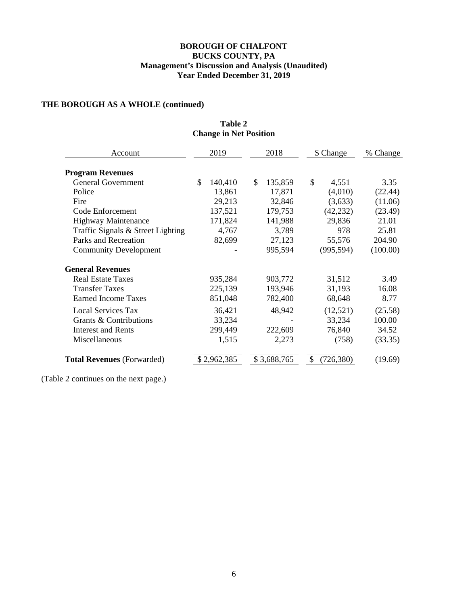# **THE BOROUGH AS A WHOLE (continued)**

|                                   | <b>Change in Net Position</b> |               |               |            |          |
|-----------------------------------|-------------------------------|---------------|---------------|------------|----------|
| Account                           | 2019                          | 2018          |               | \$ Change  | % Change |
| <b>Program Revenues</b>           |                               |               |               |            |          |
| <b>General Government</b>         | \$<br>140,410                 | \$<br>135,859 | $\mathcal{S}$ | 4,551      | 3.35     |
| Police                            | 13,861                        | 17,871        |               | (4,010)    | (22.44)  |
| Fire                              | 29,213                        | 32,846        |               | (3,633)    | (11.06)  |
| Code Enforcement                  | 137,521                       | 179,753       |               | (42, 232)  | (23.49)  |
| <b>Highway Maintenance</b>        | 171,824                       | 141,988       |               | 29,836     | 21.01    |
| Traffic Signals & Street Lighting | 4,767                         | 3,789         |               | 978        | 25.81    |
| Parks and Recreation              | 82,699                        | 27,123        |               | 55,576     | 204.90   |
| <b>Community Development</b>      |                               | 995,594       |               | (995, 594) | (100.00) |
| <b>General Revenues</b>           |                               |               |               |            |          |
| <b>Real Estate Taxes</b>          | 935,284                       | 903,772       |               | 31,512     | 3.49     |
| <b>Transfer Taxes</b>             | 225,139                       | 193,946       |               | 31,193     | 16.08    |
| <b>Earned Income Taxes</b>        | 851,048                       | 782,400       |               | 68,648     | 8.77     |
| <b>Local Services Tax</b>         | 36,421                        | 48,942        |               | (12,521)   | (25.58)  |
| Grants & Contributions            | 33,234                        |               |               | 33,234     | 100.00   |
| Interest and Rents                | 299,449                       | 222,609       |               | 76,840     | 34.52    |
| Miscellaneous                     | 1,515                         | 2,273         |               | (758)      | (33.35)  |
| <b>Total Revenues (Forwarded)</b> | \$2,962,385                   | \$3,688,765   | $\mathcal{S}$ | (726, 380) | (19.69)  |

**Table 2** 

(Table 2 continues on the next page.)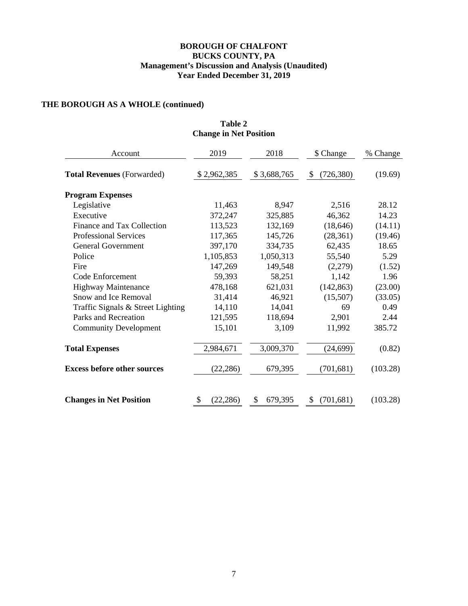**Table 2** 

# **THE BOROUGH AS A WHOLE (continued)**

| <b>Change in Net Position</b>      |                 |               |                  |          |  |
|------------------------------------|-----------------|---------------|------------------|----------|--|
| Account                            | 2019            | 2018          | \$ Change        | % Change |  |
| <b>Total Revenues (Forwarded)</b>  | \$2,962,385     | \$3,688,765   | (726, 380)<br>\$ | (19.69)  |  |
| <b>Program Expenses</b>            |                 |               |                  |          |  |
| Legislative                        | 11,463          | 8,947         | 2,516            | 28.12    |  |
| Executive                          | 372,247         | 325,885       | 46,362           | 14.23    |  |
| Finance and Tax Collection         | 113,523         | 132,169       | (18, 646)        | (14.11)  |  |
| <b>Professional Services</b>       | 117,365         | 145,726       | (28, 361)        | (19.46)  |  |
| <b>General Government</b>          | 397,170         | 334,735       | 62,435           | 18.65    |  |
| Police                             | 1,105,853       | 1,050,313     | 55,540           | 5.29     |  |
| Fire                               | 147,269         | 149,548       | (2,279)          | (1.52)   |  |
| Code Enforcement                   | 59,393          | 58,251        | 1,142            | 1.96     |  |
| <b>Highway Maintenance</b>         | 478,168         | 621,031       | (142, 863)       | (23.00)  |  |
| Snow and Ice Removal               | 31,414          | 46,921        | (15,507)         | (33.05)  |  |
| Traffic Signals & Street Lighting  | 14,110          | 14,041        | 69               | 0.49     |  |
| Parks and Recreation               | 121,595         | 118,694       | 2,901            | 2.44     |  |
| <b>Community Development</b>       | 15,101          | 3,109         | 11,992           | 385.72   |  |
| <b>Total Expenses</b>              | 2,984,671       | 3,009,370     | (24, 699)        | (0.82)   |  |
| <b>Excess before other sources</b> | (22, 286)       | 679,395       | (701, 681)       | (103.28) |  |
| <b>Changes in Net Position</b>     | \$<br>(22, 286) | 679,395<br>\$ | (701, 681)<br>\$ | (103.28) |  |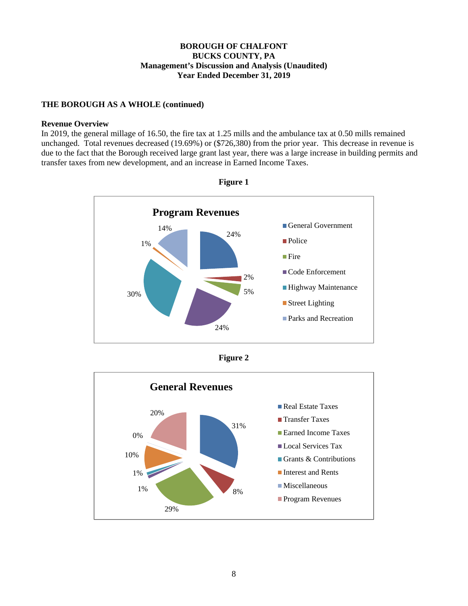#### **THE BOROUGH AS A WHOLE (continued)**

#### **Revenue Overview**

In 2019, the general millage of 16.50, the fire tax at 1.25 mills and the ambulance tax at 0.50 mills remained unchanged. Total revenues decreased (19.69%) or (\$726,380) from the prior year. This decrease in revenue is due to the fact that the Borough received large grant last year, there was a large increase in building permits and transfer taxes from new development, and an increase in Earned Income Taxes.







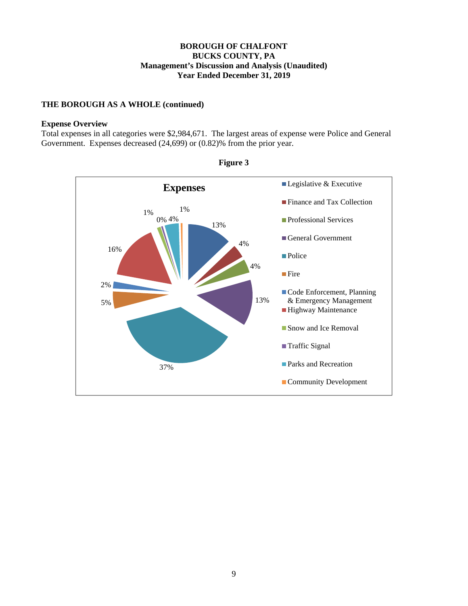### **THE BOROUGH AS A WHOLE (continued)**

#### **Expense Overview**

Total expenses in all categories were \$2,984,671. The largest areas of expense were Police and General Government. Expenses decreased (24,699) or (0.82)% from the prior year.



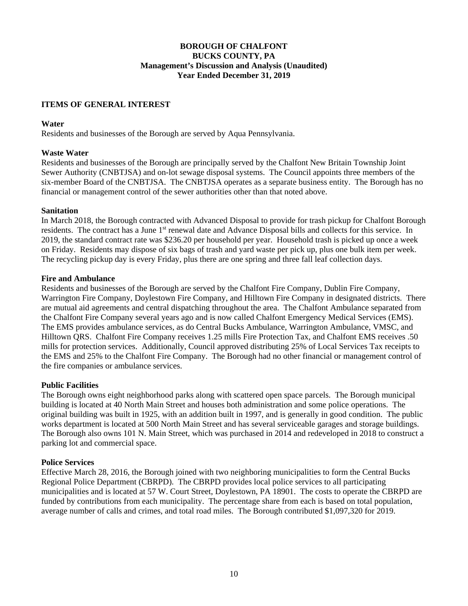# **ITEMS OF GENERAL INTEREST**

#### **Water**

Residents and businesses of the Borough are served by Aqua Pennsylvania.

#### **Waste Water**

Residents and businesses of the Borough are principally served by the Chalfont New Britain Township Joint Sewer Authority (CNBTJSA) and on-lot sewage disposal systems. The Council appoints three members of the six-member Board of the CNBTJSA. The CNBTJSA operates as a separate business entity. The Borough has no financial or management control of the sewer authorities other than that noted above.

### **Sanitation**

In March 2018, the Borough contracted with Advanced Disposal to provide for trash pickup for Chalfont Borough residents. The contract has a June 1<sup>st</sup> renewal date and Advance Disposal bills and collects for this service. In 2019, the standard contract rate was \$236.20 per household per year. Household trash is picked up once a week on Friday. Residents may dispose of six bags of trash and yard waste per pick up, plus one bulk item per week. The recycling pickup day is every Friday, plus there are one spring and three fall leaf collection days.

#### **Fire and Ambulance**

Residents and businesses of the Borough are served by the Chalfont Fire Company, Dublin Fire Company, Warrington Fire Company, Doylestown Fire Company, and Hilltown Fire Company in designated districts. There are mutual aid agreements and central dispatching throughout the area. The Chalfont Ambulance separated from the Chalfont Fire Company several years ago and is now called Chalfont Emergency Medical Services (EMS). The EMS provides ambulance services, as do Central Bucks Ambulance, Warrington Ambulance, VMSC, and Hilltown QRS. Chalfont Fire Company receives 1.25 mills Fire Protection Tax, and Chalfont EMS receives .50 mills for protection services. Additionally, Council approved distributing 25% of Local Services Tax receipts to the EMS and 25% to the Chalfont Fire Company. The Borough had no other financial or management control of the fire companies or ambulance services.

### **Public Facilities**

The Borough owns eight neighborhood parks along with scattered open space parcels. The Borough municipal building is located at 40 North Main Street and houses both administration and some police operations. The original building was built in 1925, with an addition built in 1997, and is generally in good condition. The public works department is located at 500 North Main Street and has several serviceable garages and storage buildings. The Borough also owns 101 N. Main Street, which was purchased in 2014 and redeveloped in 2018 to construct a parking lot and commercial space.

### **Police Services**

Effective March 28, 2016, the Borough joined with two neighboring municipalities to form the Central Bucks Regional Police Department (CBRPD). The CBRPD provides local police services to all participating municipalities and is located at 57 W. Court Street, Doylestown, PA 18901. The costs to operate the CBRPD are funded by contributions from each municipality. The percentage share from each is based on total population, average number of calls and crimes, and total road miles. The Borough contributed \$1,097,320 for 2019.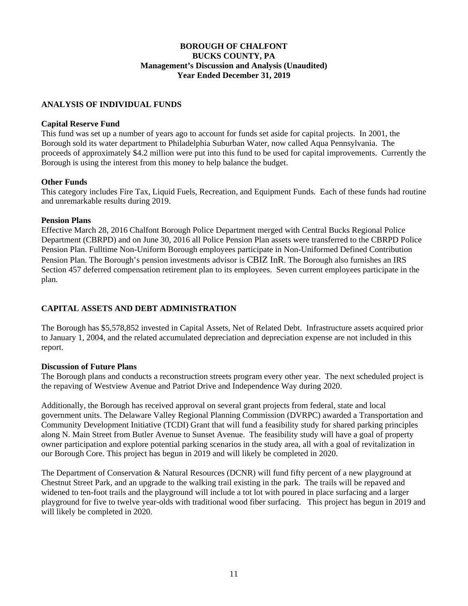# **ANALYSIS OF INDIVIDUAL FUNDS**

#### **Capital Reserve Fund**

This fund was set up a number of years ago to account for funds set aside for capital projects. In 2001, the Borough sold its water department to Philadelphia Suburban Water, now called Aqua Pennsylvania. The proceeds of approximately \$4.2 million were put into this fund to be used for capital improvements. Currently the Borough is using the interest from this money to help balance the budget.

### **Other Funds**

This category includes Fire Tax, Liquid Fuels, Recreation, and Equipment Funds. Each of these funds had routine and unremarkable results during 2019.

#### **Pension Plans**

Effective March 28, 2016 Chalfont Borough Police Department merged with Central Bucks Regional Police Department (CBRPD) and on June 30, 2016 all Police Pension Plan assets were transferred to the CBRPD Police Pension Plan. Fulltime Non-Uniform Borough employees participate in Non-Uniformed Defined Contribution Pension Plan. The Borough's pension investments advisor is CBIZ InR. The Borough also furnishes an IRS Section 457 deferred compensation retirement plan to its employees. Seven current employees participate in the plan.

# **CAPITAL ASSETS AND DEBT ADMINISTRATION**

The Borough has \$5,578,852 invested in Capital Assets, Net of Related Debt. Infrastructure assets acquired prior to January 1, 2004, and the related accumulated depreciation and depreciation expense are not included in this report.

### **Discussion of Future Plans**

The Borough plans and conducts a reconstruction streets program every other year. The next scheduled project is the repaving of Westview Avenue and Patriot Drive and Independence Way during 2020.

Additionally, the Borough has received approval on several grant projects from federal, state and local government units. The Delaware Valley Regional Planning Commission (DVRPC) awarded a Transportation and Community Development Initiative (TCDI) Grant that will fund a feasibility study for shared parking principles along N. Main Street from Butler Avenue to Sunset Avenue. The feasibility study will have a goal of property owner participation and explore potential parking scenarios in the study area, all with a goal of revitalization in our Borough Core. This project has begun in 2019 and will likely be completed in 2020.

The Department of Conservation & Natural Resources (DCNR) will fund fifty percent of a new playground at Chestnut Street Park, and an upgrade to the walking trail existing in the park. The trails will be repaved and widened to ten-foot trails and the playground will include a tot lot with poured in place surfacing and a larger playground for five to twelve year-olds with traditional wood fiber surfacing. This project has begun in 2019 and will likely be completed in 2020.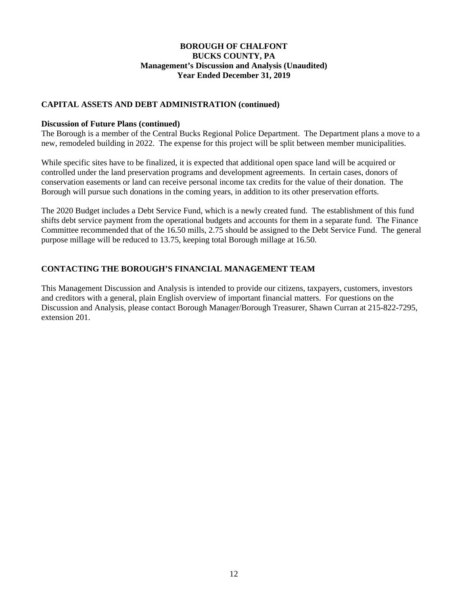### **CAPITAL ASSETS AND DEBT ADMINISTRATION (continued)**

#### **Discussion of Future Plans (continued)**

The Borough is a member of the Central Bucks Regional Police Department. The Department plans a move to a new, remodeled building in 2022. The expense for this project will be split between member municipalities.

While specific sites have to be finalized, it is expected that additional open space land will be acquired or controlled under the land preservation programs and development agreements. In certain cases, donors of conservation easements or land can receive personal income tax credits for the value of their donation. The Borough will pursue such donations in the coming years, in addition to its other preservation efforts.

The 2020 Budget includes a Debt Service Fund, which is a newly created fund. The establishment of this fund shifts debt service payment from the operational budgets and accounts for them in a separate fund. The Finance Committee recommended that of the 16.50 mills, 2.75 should be assigned to the Debt Service Fund. The general purpose millage will be reduced to 13.75, keeping total Borough millage at 16.50.

# **CONTACTING THE BOROUGH'S FINANCIAL MANAGEMENT TEAM**

This Management Discussion and Analysis is intended to provide our citizens, taxpayers, customers, investors and creditors with a general, plain English overview of important financial matters. For questions on the Discussion and Analysis, please contact Borough Manager/Borough Treasurer, Shawn Curran at 215-822-7295, extension 201.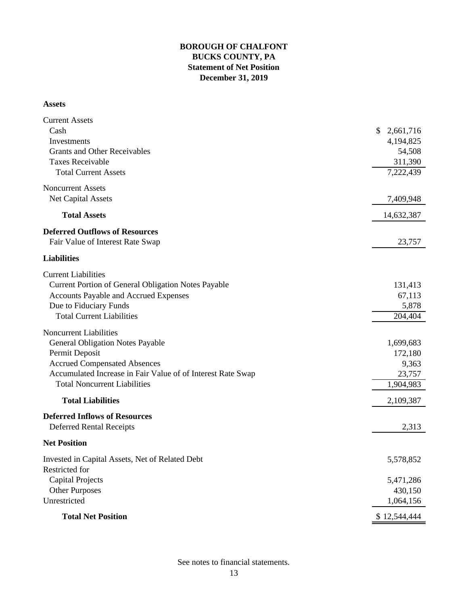# **BOROUGH OF CHALFONT BUCKS COUNTY, PA Statement of Net Position December 31, 2019**

#### **Assets**

| <b>Current Assets</b>                                       |                 |
|-------------------------------------------------------------|-----------------|
| Cash                                                        | \$<br>2,661,716 |
| Investments                                                 | 4,194,825       |
| <b>Grants and Other Receivables</b>                         | 54,508          |
| <b>Taxes Receivable</b>                                     | 311,390         |
| <b>Total Current Assets</b>                                 | 7,222,439       |
|                                                             |                 |
| <b>Noncurrent Assets</b>                                    |                 |
| Net Capital Assets                                          | 7,409,948       |
| <b>Total Assets</b>                                         | 14,632,387      |
|                                                             |                 |
| <b>Deferred Outflows of Resources</b>                       |                 |
| Fair Value of Interest Rate Swap                            | 23,757          |
| <b>Liabilities</b>                                          |                 |
| <b>Current Liabilities</b>                                  |                 |
| Current Portion of General Obligation Notes Payable         | 131,413         |
| <b>Accounts Payable and Accrued Expenses</b>                | 67,113          |
| Due to Fiduciary Funds                                      | 5,878           |
| <b>Total Current Liabilities</b>                            | 204,404         |
|                                                             |                 |
| <b>Noncurrent Liabilities</b>                               |                 |
| <b>General Obligation Notes Payable</b>                     | 1,699,683       |
| Permit Deposit                                              | 172,180         |
| <b>Accrued Compensated Absences</b>                         | 9,363           |
| Accumulated Increase in Fair Value of of Interest Rate Swap | 23,757          |
| <b>Total Noncurrent Liabilities</b>                         | 1,904,983       |
| <b>Total Liabilities</b>                                    | 2,109,387       |
| <b>Deferred Inflows of Resources</b>                        |                 |
| <b>Deferred Rental Receipts</b>                             | 2,313           |
|                                                             |                 |
| <b>Net Position</b>                                         |                 |
| Invested in Capital Assets, Net of Related Debt             | 5,578,852       |
| Restricted for                                              |                 |
| <b>Capital Projects</b>                                     | 5,471,286       |
| <b>Other Purposes</b>                                       | 430,150         |
| Unrestricted                                                | 1,064,156       |
| <b>Total Net Position</b>                                   | \$12,544,444    |

See notes to financial statements.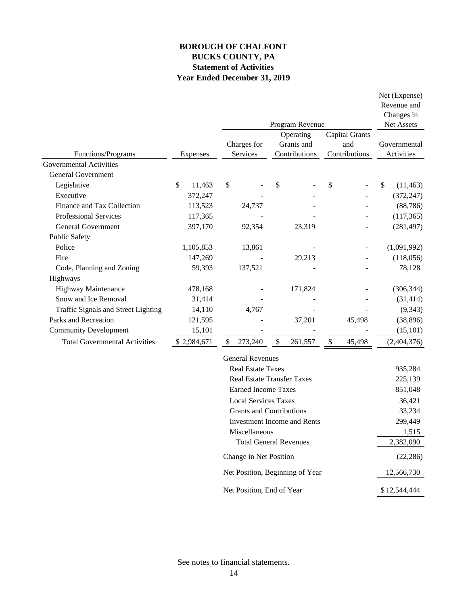# **BOROUGH OF CHALFONT BUCKS COUNTY, PA Statement of Activities Year Ended December 31, 2019**

|                                      |              |                         | Program Revenue             |                       | Net (Expense)<br>Revenue and<br>Changes in<br>Net Assets |
|--------------------------------------|--------------|-------------------------|-----------------------------|-----------------------|----------------------------------------------------------|
|                                      |              |                         | Operating                   | <b>Capital Grants</b> |                                                          |
| Functions/Programs                   | Expenses     | Charges for<br>Services | Grants and<br>Contributions | and<br>Contributions  | Governmental<br>Activities                               |
| <b>Governmental Activities</b>       |              |                         |                             |                       |                                                          |
| <b>General Government</b>            |              |                         |                             |                       |                                                          |
| Legislative                          | \$<br>11,463 | \$                      | \$                          | \$                    | \$<br>(11, 463)                                          |
| Executive                            | 372,247      |                         |                             |                       | (372, 247)                                               |
| Finance and Tax Collection           | 113,523      | 24,737                  |                             |                       | (88, 786)                                                |
| <b>Professional Services</b>         | 117,365      |                         |                             |                       | (117, 365)                                               |
| <b>General Government</b>            | 397,170      | 92,354                  | 23,319                      |                       | (281, 497)                                               |
| <b>Public Safety</b>                 |              |                         |                             |                       |                                                          |
| Police                               | 1,105,853    | 13,861                  |                             |                       | (1,091,992)                                              |
| Fire                                 | 147,269      |                         | 29,213                      |                       | (118,056)                                                |
| Code, Planning and Zoning            | 59,393       | 137,521                 |                             |                       | 78,128                                                   |
| Highways                             |              |                         |                             |                       |                                                          |
| <b>Highway Maintenance</b>           | 478,168      |                         | 171,824                     |                       | (306, 344)                                               |
| Snow and Ice Removal                 | 31,414       |                         |                             |                       | (31, 414)                                                |
| Traffic Signals and Street Lighting  | 14,110       | 4,767                   |                             |                       | (9, 343)                                                 |
| Parks and Recreation                 | 121,595      |                         | 37,201                      | 45,498                | (38, 896)                                                |
| <b>Community Development</b>         | 15,101       |                         |                             |                       | (15, 101)                                                |
| <b>Total Governmental Activities</b> | \$2,984,671  | \$<br>273,240           | \$<br>261,557               | \$<br>45,498          | (2,404,376)                                              |

| General Revenues                |              |
|---------------------------------|--------------|
| <b>Real Estate Taxes</b>        | 935,284      |
| Real Estate Transfer Taxes      | 225,139      |
| Earned Income Taxes             | 851,048      |
| Local Services Taxes            | 36,421       |
| <b>Grants and Contributions</b> | 33,234       |
| Investment Income and Rents     | 299,449      |
| Miscellaneous                   | 1,515        |
| Total General Revenues          | 2,382,090    |
| Change in Net Position          | (22, 286)    |
| Net Position, Beginning of Year | 12,566,730   |
| Net Position, End of Year       | \$12,544,444 |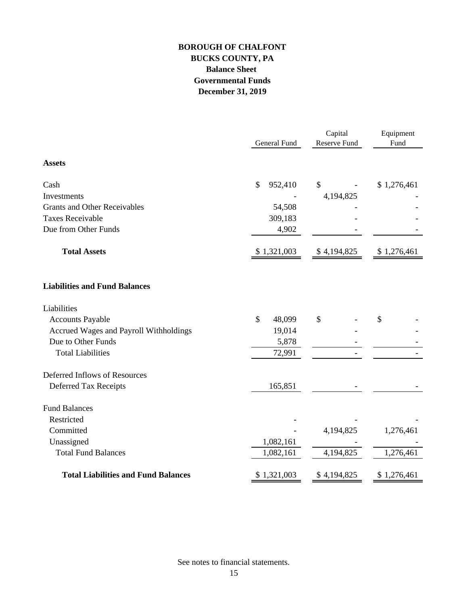# **BOROUGH OF CHALFONT BUCKS COUNTY, PA Balance Sheet Governmental Funds December 31, 2019**

|                                            | General Fund  | Capital<br>Reserve Fund | Equipment<br>Fund |
|--------------------------------------------|---------------|-------------------------|-------------------|
| <b>Assets</b>                              |               |                         |                   |
| Cash                                       | \$<br>952,410 | \$                      | \$1,276,461       |
| Investments                                |               | 4,194,825               |                   |
| <b>Grants and Other Receivables</b>        | 54,508        |                         |                   |
| <b>Taxes Receivable</b>                    | 309,183       |                         |                   |
| Due from Other Funds                       | 4,902         |                         |                   |
| <b>Total Assets</b>                        | \$1,321,003   | \$4,194,825             | \$1,276,461       |
| <b>Liabilities and Fund Balances</b>       |               |                         |                   |
| Liabilities                                |               |                         |                   |
| <b>Accounts Payable</b>                    | \$<br>48,099  | \$                      | \$                |
| Accrued Wages and Payroll Withholdings     | 19,014        |                         |                   |
| Due to Other Funds                         | 5,878         |                         |                   |
| <b>Total Liabilities</b>                   | 72,991        |                         |                   |
| Deferred Inflows of Resources              |               |                         |                   |
| Deferred Tax Receipts                      | 165,851       |                         |                   |
| <b>Fund Balances</b>                       |               |                         |                   |
| Restricted                                 |               |                         |                   |
| Committed                                  |               | 4,194,825               | 1,276,461         |
| Unassigned                                 | 1,082,161     |                         |                   |
| <b>Total Fund Balances</b>                 | 1,082,161     | 4,194,825               | 1,276,461         |
| <b>Total Liabilities and Fund Balances</b> | \$1,321,003   | \$4,194,825             | \$1,276,461       |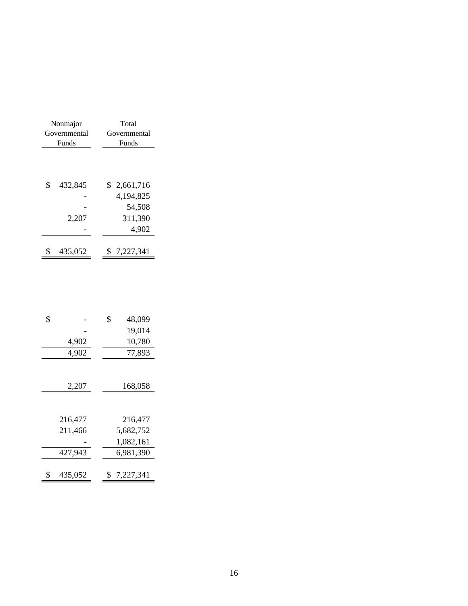| Nonmajor<br>Governmental<br>Funds |         | Total<br>Governmental<br>Funds |
|-----------------------------------|---------|--------------------------------|
|                                   |         |                                |
| \$                                | 432,845 | \$2,661,716                    |
|                                   |         | 4,194,825                      |
|                                   |         | 54,508                         |
|                                   | 2,207   | 311,390                        |
|                                   |         | 4,902                          |
|                                   |         |                                |
| S                                 | 435,052 | \$7,227,341                    |

| \$            | \$<br>48,099    |
|---------------|-----------------|
|               | 19,014          |
| 4,902         | 10,780          |
| 4,902         | 77,893          |
|               |                 |
|               |                 |
| 2,207         | 168,058         |
|               |                 |
|               |                 |
| 216,477       | 216,477         |
| 211,466       | 5,682,752       |
|               | 1,082,161       |
| 427,943       | 6,981,390       |
|               |                 |
| \$<br>435,052 | \$<br>7,227,341 |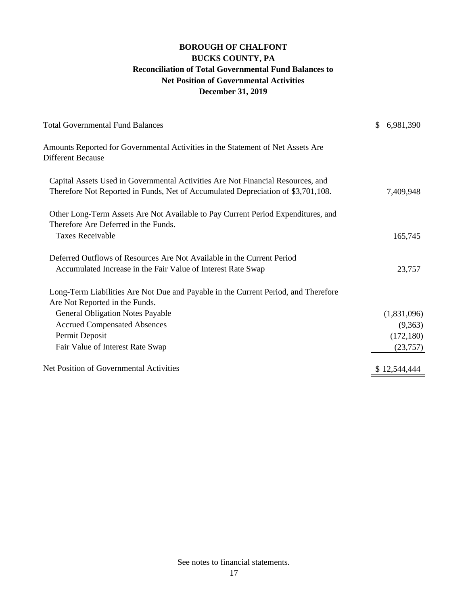# **Net Position of Governmental Activities BOROUGH OF CHALFONT BUCKS COUNTY, PA Reconciliation of Total Governmental Fund Balances to December 31, 2019**

| <b>Total Governmental Fund Balances</b>                                                                     | \$<br>6,981,390 |
|-------------------------------------------------------------------------------------------------------------|-----------------|
| Amounts Reported for Governmental Activities in the Statement of Net Assets Are<br><b>Different Because</b> |                 |
|                                                                                                             |                 |
| Capital Assets Used in Governmental Activities Are Not Financial Resources, and                             |                 |
| Therefore Not Reported in Funds, Net of Accumulated Depreciation of \$3,701,108.                            | 7,409,948       |
| Other Long-Term Assets Are Not Available to Pay Current Period Expenditures, and                            |                 |
| Therefore Are Deferred in the Funds.                                                                        |                 |
| <b>Taxes Receivable</b>                                                                                     | 165,745         |
| Deferred Outflows of Resources Are Not Available in the Current Period                                      |                 |
| Accumulated Increase in the Fair Value of Interest Rate Swap                                                | 23,757          |
| Long-Term Liabilities Are Not Due and Payable in the Current Period, and Therefore                          |                 |
| Are Not Reported in the Funds.                                                                              |                 |
| <b>General Obligation Notes Payable</b>                                                                     | (1,831,096)     |
| <b>Accrued Compensated Absences</b>                                                                         | (9,363)         |
| Permit Deposit                                                                                              | (172, 180)      |
| Fair Value of Interest Rate Swap                                                                            | (23,757)        |
| Net Position of Governmental Activities                                                                     | \$12,544,444    |

See notes to financial statements.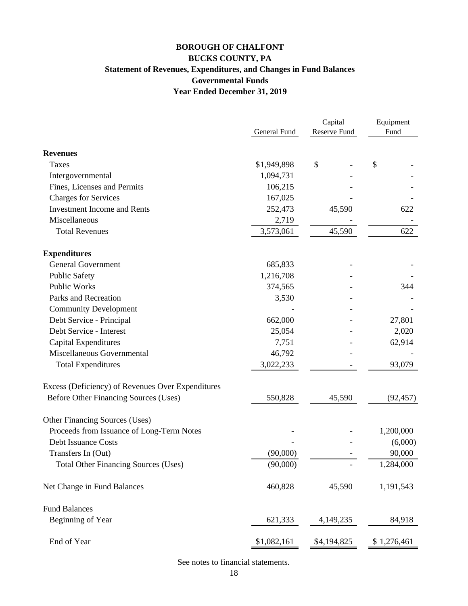# **BOROUGH OF CHALFONT BUCKS COUNTY, PA Statement of Revenues, Expenditures, and Changes in Fund Balances Governmental Funds Year Ended December 31, 2019**

|                                                   | Capital      |              | Equipment   |  |
|---------------------------------------------------|--------------|--------------|-------------|--|
|                                                   | General Fund | Reserve Fund | Fund        |  |
| <b>Revenues</b>                                   |              |              |             |  |
| <b>Taxes</b>                                      | \$1,949,898  | \$           | \$          |  |
| Intergovernmental                                 | 1,094,731    |              |             |  |
| Fines, Licenses and Permits                       | 106,215      |              |             |  |
| <b>Charges for Services</b>                       | 167,025      |              |             |  |
| <b>Investment Income and Rents</b>                | 252,473      | 45,590       | 622         |  |
| Miscellaneous                                     | 2,719        |              |             |  |
| <b>Total Revenues</b>                             | 3,573,061    | 45,590       | 622         |  |
| <b>Expenditures</b>                               |              |              |             |  |
| <b>General Government</b>                         | 685,833      |              |             |  |
| <b>Public Safety</b>                              | 1,216,708    |              |             |  |
| <b>Public Works</b>                               | 374,565      |              | 344         |  |
| Parks and Recreation                              | 3,530        |              |             |  |
| <b>Community Development</b>                      |              |              |             |  |
| Debt Service - Principal                          | 662,000      |              | 27,801      |  |
| Debt Service - Interest                           | 25,054       |              | 2,020       |  |
| Capital Expenditures                              | 7,751        |              | 62,914      |  |
| Miscellaneous Governmental                        | 46,792       |              |             |  |
| <b>Total Expenditures</b>                         | 3,022,233    |              | 93,079      |  |
| Excess (Deficiency) of Revenues Over Expenditures |              |              |             |  |
| Before Other Financing Sources (Uses)             | 550,828      | 45,590       | (92, 457)   |  |
| Other Financing Sources (Uses)                    |              |              |             |  |
| Proceeds from Issuance of Long-Term Notes         |              |              | 1,200,000   |  |
| <b>Debt Issuance Costs</b>                        |              |              | (6,000)     |  |
| Transfers In (Out)                                | (90,000)     |              | 90,000      |  |
| <b>Total Other Financing Sources (Uses)</b>       | (90,000)     |              | 1,284,000   |  |
| Net Change in Fund Balances                       | 460,828      | 45,590       | 1,191,543   |  |
| <b>Fund Balances</b>                              |              |              |             |  |
| Beginning of Year                                 | 621,333      | 4, 149, 235  | 84,918      |  |
| End of Year                                       | \$1,082,161  | \$4,194,825  | \$1,276,461 |  |

See notes to financial statements.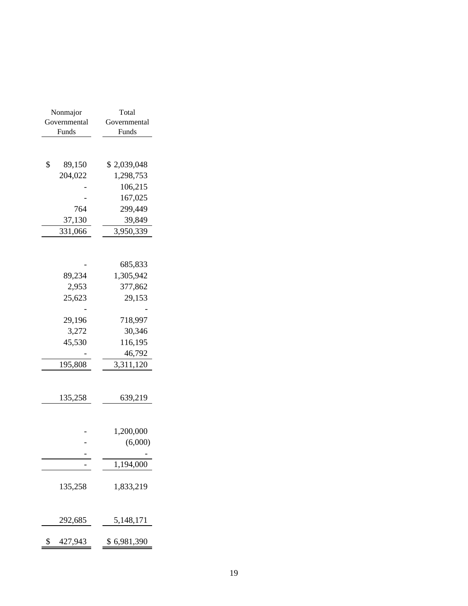| Nonmajor      | Total        |
|---------------|--------------|
| Governmental  | Governmental |
| Funds         | Funds        |
|               |              |
|               |              |
| \$<br>89,150  | \$2,039,048  |
| 204,022       | 1,298,753    |
|               | 106,215      |
|               | 167,025      |
| 764           | 299,449      |
| 37,130        | 39,849       |
| 331,066       | 3,950,339    |
|               |              |
|               |              |
|               | 685,833      |
| 89,234        | 1,305,942    |
| 2,953         | 377,862      |
| 25,623        | 29,153       |
|               |              |
| 29,196        | 718,997      |
| 3,272         | 30,346       |
| 45,530        | 116,195      |
|               | 46,792       |
| 195,808       | 3,311,120    |
|               |              |
|               |              |
| 135,258       | 639,219      |
|               |              |
|               |              |
|               | 1,200,000    |
|               | (6,000)      |
|               |              |
|               | 1,194,000    |
|               |              |
|               |              |
| 135,258       | 1,833,219    |
|               |              |
|               |              |
| 292,685       | 5,148,171    |
|               |              |
| \$<br>427,943 | \$6,981,390  |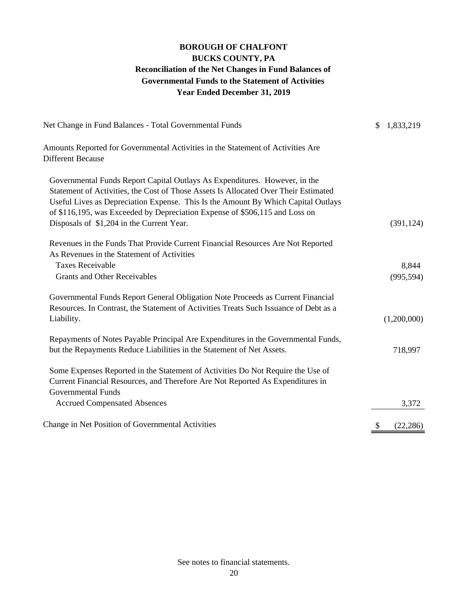# **BUCKS COUNTY, PA Reconciliation of the Net Changes in Fund Balances of Governmental Funds to the Statement of Activities BOROUGH OF CHALFONT Year Ended December 31, 2019**

| Net Change in Fund Balances - Total Governmental Funds                                                                                                                                                                                                                                                                                                                             | \$ | 1,833,219           |
|------------------------------------------------------------------------------------------------------------------------------------------------------------------------------------------------------------------------------------------------------------------------------------------------------------------------------------------------------------------------------------|----|---------------------|
| Amounts Reported for Governmental Activities in the Statement of Activities Are<br><b>Different Because</b>                                                                                                                                                                                                                                                                        |    |                     |
| Governmental Funds Report Capital Outlays As Expenditures. However, in the<br>Statement of Activities, the Cost of Those Assets Is Allocated Over Their Estimated<br>Useful Lives as Depreciation Expense. This Is the Amount By Which Capital Outlays<br>of \$116,195, was Exceeded by Depreciation Expense of \$506,115 and Loss on<br>Disposals of \$1,204 in the Current Year. |    | (391, 124)          |
| Revenues in the Funds That Provide Current Financial Resources Are Not Reported<br>As Revenues in the Statement of Activities<br><b>Taxes Receivable</b><br><b>Grants and Other Receivables</b>                                                                                                                                                                                    |    | 8,844<br>(995, 594) |
| Governmental Funds Report General Obligation Note Proceeds as Current Financial<br>Resources. In Contrast, the Statement of Activities Treats Such Issuance of Debt as a<br>Liability.                                                                                                                                                                                             |    | (1,200,000)         |
| Repayments of Notes Payable Principal Are Expenditures in the Governmental Funds,<br>but the Repayments Reduce Liabilities in the Statement of Net Assets.                                                                                                                                                                                                                         |    | 718,997             |
| Some Expenses Reported in the Statement of Activities Do Not Require the Use of<br>Current Financial Resources, and Therefore Are Not Reported As Expenditures in<br><b>Governmental Funds</b>                                                                                                                                                                                     |    |                     |
| <b>Accrued Compensated Absences</b>                                                                                                                                                                                                                                                                                                                                                |    | 3,372               |
| Change in Net Position of Governmental Activities                                                                                                                                                                                                                                                                                                                                  | S  | (22, 286)           |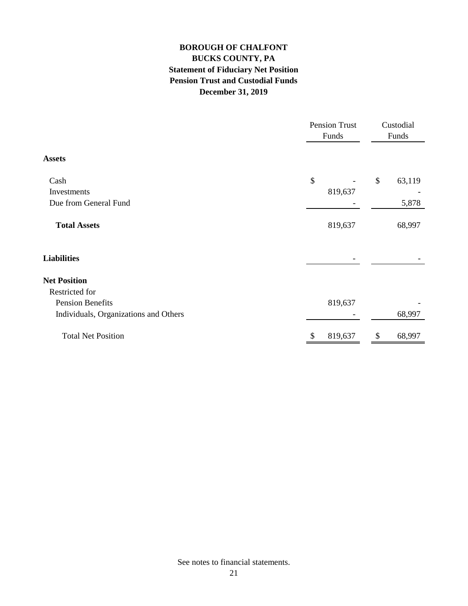# **BOROUGH OF CHALFONT BUCKS COUNTY, PA Statement of Fiduciary Net Position Pension Trust and Custodial Funds December 31, 2019**

|                                       | <b>Pension Trust</b><br>Funds |         | Custodial<br>Funds |  |
|---------------------------------------|-------------------------------|---------|--------------------|--|
| <b>Assets</b>                         |                               |         |                    |  |
| Cash                                  | \$                            |         | \$<br>63,119       |  |
| Investments                           |                               | 819,637 |                    |  |
| Due from General Fund                 |                               |         | 5,878              |  |
| <b>Total Assets</b>                   |                               | 819,637 | 68,997             |  |
| <b>Liabilities</b>                    |                               |         |                    |  |
| <b>Net Position</b>                   |                               |         |                    |  |
| Restricted for                        |                               |         |                    |  |
| <b>Pension Benefits</b>               |                               | 819,637 |                    |  |
| Individuals, Organizations and Others |                               |         | 68,997             |  |
| <b>Total Net Position</b>             |                               | 819,637 | \$<br>68,997       |  |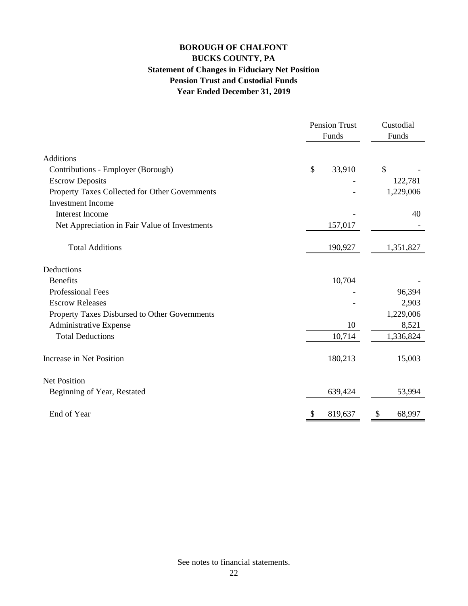# **BOROUGH OF CHALFONT BUCKS COUNTY, PA Statement of Changes in Fiduciary Net Position Pension Trust and Custodial Funds Year Ended December 31, 2019**

|                                                | <b>Pension Trust</b><br>Funds | Custodial<br>Funds   |
|------------------------------------------------|-------------------------------|----------------------|
| Additions                                      |                               |                      |
| Contributions - Employer (Borough)             | \$                            | 33,910<br>\$         |
| <b>Escrow Deposits</b>                         |                               | 122,781              |
| Property Taxes Collected for Other Governments |                               | 1,229,006            |
| <b>Investment Income</b>                       |                               |                      |
| <b>Interest Income</b>                         |                               | 40                   |
| Net Appreciation in Fair Value of Investments  | 157,017                       |                      |
| <b>Total Additions</b>                         |                               | 190,927<br>1,351,827 |
| Deductions                                     |                               |                      |
| <b>Benefits</b>                                |                               | 10,704               |
| <b>Professional Fees</b>                       |                               | 96,394               |
| <b>Escrow Releases</b>                         |                               | 2,903                |
| Property Taxes Disbursed to Other Governments  |                               | 1,229,006            |
| Administrative Expense                         |                               | 8,521<br>10          |
| <b>Total Deductions</b>                        |                               | 10,714<br>1,336,824  |
| Increase in Net Position                       |                               | 180,213<br>15,003    |
| <b>Net Position</b>                            |                               |                      |
| Beginning of Year, Restated                    | 639,424                       | 53,994               |
| End of Year                                    | 819,637<br>\$                 | 68,997<br>\$         |

See notes to financial statements.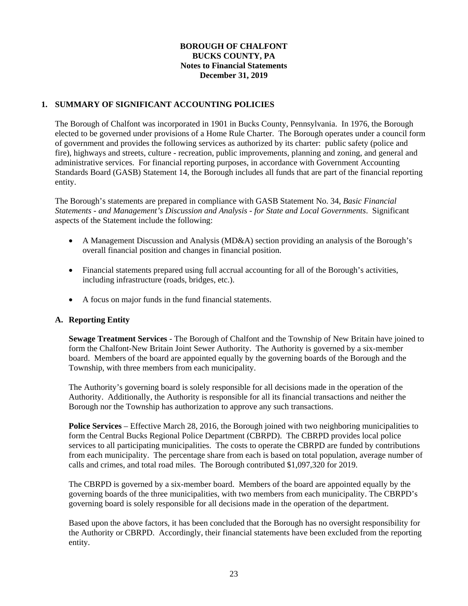# **1. SUMMARY OF SIGNIFICANT ACCOUNTING POLICIES**

 The Borough of Chalfont was incorporated in 1901 in Bucks County, Pennsylvania. In 1976, the Borough elected to be governed under provisions of a Home Rule Charter. The Borough operates under a council form of government and provides the following services as authorized by its charter: public safety (police and fire), highways and streets, culture - recreation, public improvements, planning and zoning, and general and administrative services. For financial reporting purposes, in accordance with Government Accounting Standards Board (GASB) Statement 14, the Borough includes all funds that are part of the financial reporting entity.

The Borough's statements are prepared in compliance with GASB Statement No. 34, *Basic Financial Statements - and Management's Discussion and Analysis - for State and Local Governments*. Significant aspects of the Statement include the following:

- A Management Discussion and Analysis (MD&A) section providing an analysis of the Borough's overall financial position and changes in financial position.
- Financial statements prepared using full accrual accounting for all of the Borough's activities, including infrastructure (roads, bridges, etc.).
- A focus on major funds in the fund financial statements.

### **A. Reporting Entity**

**Sewage Treatment Services** - The Borough of Chalfont and the Township of New Britain have joined to form the Chalfont-New Britain Joint Sewer Authority. The Authority is governed by a six-member board. Members of the board are appointed equally by the governing boards of the Borough and the Township, with three members from each municipality.

The Authority's governing board is solely responsible for all decisions made in the operation of the Authority. Additionally, the Authority is responsible for all its financial transactions and neither the Borough nor the Township has authorization to approve any such transactions.

**Police Services** – Effective March 28, 2016, the Borough joined with two neighboring municipalities to form the Central Bucks Regional Police Department (CBRPD). The CBRPD provides local police services to all participating municipalities. The costs to operate the CBRPD are funded by contributions from each municipality. The percentage share from each is based on total population, average number of calls and crimes, and total road miles. The Borough contributed \$1,097,320 for 2019.

The CBRPD is governed by a six-member board. Members of the board are appointed equally by the governing boards of the three municipalities, with two members from each municipality. The CBRPD's governing board is solely responsible for all decisions made in the operation of the department.

Based upon the above factors, it has been concluded that the Borough has no oversight responsibility for the Authority or CBRPD. Accordingly, their financial statements have been excluded from the reporting entity.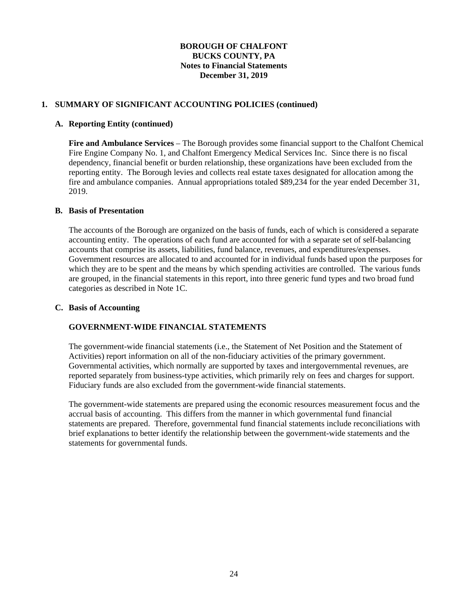# **1. SUMMARY OF SIGNIFICANT ACCOUNTING POLICIES (continued)**

#### **A. Reporting Entity (continued)**

**Fire and Ambulance Services** – The Borough provides some financial support to the Chalfont Chemical Fire Engine Company No. 1, and Chalfont Emergency Medical Services Inc. Since there is no fiscal dependency, financial benefit or burden relationship, these organizations have been excluded from the reporting entity. The Borough levies and collects real estate taxes designated for allocation among the fire and ambulance companies. Annual appropriations totaled \$89,234 for the year ended December 31, 2019.

#### **B. Basis of Presentation**

The accounts of the Borough are organized on the basis of funds, each of which is considered a separate accounting entity. The operations of each fund are accounted for with a separate set of self-balancing accounts that comprise its assets, liabilities, fund balance, revenues, and expenditures/expenses. Government resources are allocated to and accounted for in individual funds based upon the purposes for which they are to be spent and the means by which spending activities are controlled. The various funds are grouped, in the financial statements in this report, into three generic fund types and two broad fund categories as described in Note 1C.

#### **C. Basis of Accounting**

### **GOVERNMENT-WIDE FINANCIAL STATEMENTS**

The government-wide financial statements (i.e., the Statement of Net Position and the Statement of Activities) report information on all of the non-fiduciary activities of the primary government. Governmental activities, which normally are supported by taxes and intergovernmental revenues, are reported separately from business-type activities, which primarily rely on fees and charges for support. Fiduciary funds are also excluded from the government-wide financial statements.

The government-wide statements are prepared using the economic resources measurement focus and the accrual basis of accounting. This differs from the manner in which governmental fund financial statements are prepared. Therefore, governmental fund financial statements include reconciliations with brief explanations to better identify the relationship between the government-wide statements and the statements for governmental funds.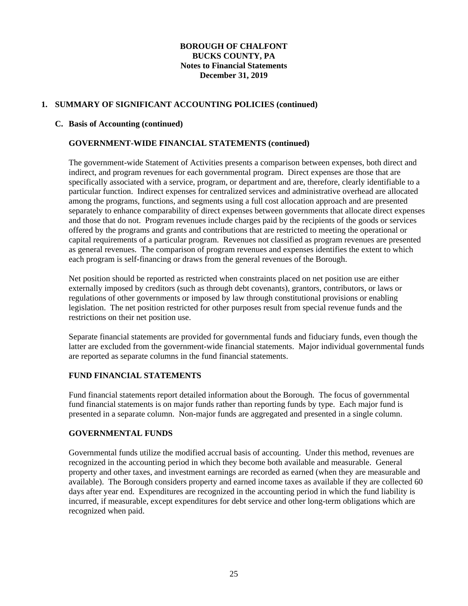# **1. SUMMARY OF SIGNIFICANT ACCOUNTING POLICIES (continued)**

#### **C. Basis of Accounting (continued)**

### **GOVERNMENT-WIDE FINANCIAL STATEMENTS (continued)**

The government-wide Statement of Activities presents a comparison between expenses, both direct and indirect, and program revenues for each governmental program. Direct expenses are those that are specifically associated with a service, program, or department and are, therefore, clearly identifiable to a particular function. Indirect expenses for centralized services and administrative overhead are allocated among the programs, functions, and segments using a full cost allocation approach and are presented separately to enhance comparability of direct expenses between governments that allocate direct expenses and those that do not. Program revenues include charges paid by the recipients of the goods or services offered by the programs and grants and contributions that are restricted to meeting the operational or capital requirements of a particular program. Revenues not classified as program revenues are presented as general revenues. The comparison of program revenues and expenses identifies the extent to which each program is self-financing or draws from the general revenues of the Borough.

Net position should be reported as restricted when constraints placed on net position use are either externally imposed by creditors (such as through debt covenants), grantors, contributors, or laws or regulations of other governments or imposed by law through constitutional provisions or enabling legislation. The net position restricted for other purposes result from special revenue funds and the restrictions on their net position use.

Separate financial statements are provided for governmental funds and fiduciary funds, even though the latter are excluded from the government-wide financial statements. Major individual governmental funds are reported as separate columns in the fund financial statements.

### **FUND FINANCIAL STATEMENTS**

Fund financial statements report detailed information about the Borough. The focus of governmental fund financial statements is on major funds rather than reporting funds by type. Each major fund is presented in a separate column. Non-major funds are aggregated and presented in a single column.

### **GOVERNMENTAL FUNDS**

Governmental funds utilize the modified accrual basis of accounting. Under this method, revenues are recognized in the accounting period in which they become both available and measurable. General property and other taxes, and investment earnings are recorded as earned (when they are measurable and available). The Borough considers property and earned income taxes as available if they are collected 60 days after year end. Expenditures are recognized in the accounting period in which the fund liability is incurred, if measurable, except expenditures for debt service and other long-term obligations which are recognized when paid.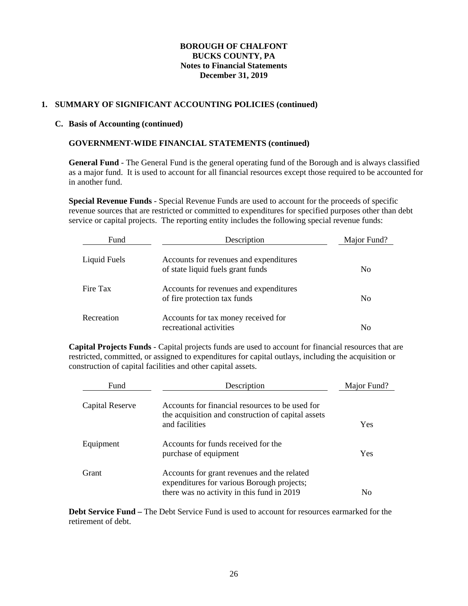### **1. SUMMARY OF SIGNIFICANT ACCOUNTING POLICIES (continued)**

#### **C. Basis of Accounting (continued)**

### **GOVERNMENT-WIDE FINANCIAL STATEMENTS (continued)**

**General Fund** - The General Fund is the general operating fund of the Borough and is always classified as a major fund. It is used to account for all financial resources except those required to be accounted for in another fund.

**Special Revenue Funds** - Special Revenue Funds are used to account for the proceeds of specific revenue sources that are restricted or committed to expenditures for specified purposes other than debt service or capital projects. The reporting entity includes the following special revenue funds:

| Fund         | Description                                                                 | Major Fund?    |
|--------------|-----------------------------------------------------------------------------|----------------|
| Liquid Fuels | Accounts for revenues and expenditures<br>of state liquid fuels grant funds | No             |
| Fire Tax     | Accounts for revenues and expenditures<br>of fire protection tax funds      | N <sub>0</sub> |
| Recreation   | Accounts for tax money received for<br>recreational activities              | No             |

**Capital Projects Funds** - Capital projects funds are used to account for financial resources that are restricted, committed, or assigned to expenditures for capital outlays, including the acquisition or construction of capital facilities and other capital assets.

| Fund            | Description                                                                                                                             | Major Fund?    |
|-----------------|-----------------------------------------------------------------------------------------------------------------------------------------|----------------|
| Capital Reserve | Accounts for financial resources to be used for<br>the acquisition and construction of capital assets<br>and facilities                 | Yes            |
| Equipment       | Accounts for funds received for the<br>purchase of equipment                                                                            | Yes            |
| Grant           | Accounts for grant revenues and the related<br>expenditures for various Borough projects;<br>there was no activity in this fund in 2019 | N <sub>0</sub> |

**Debt Service Fund –** The Debt Service Fund is used to account for resources earmarked for the retirement of debt.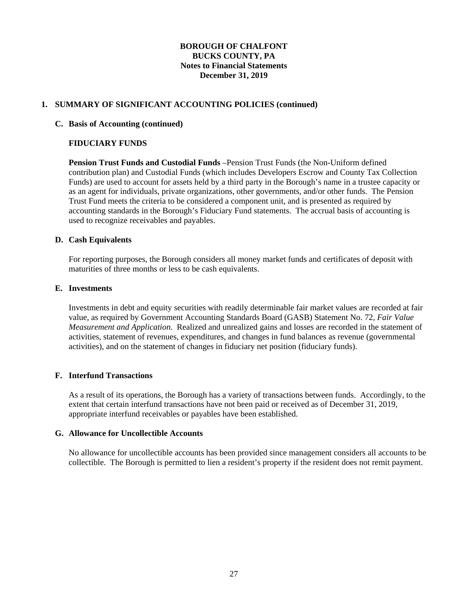# **1. SUMMARY OF SIGNIFICANT ACCOUNTING POLICIES (continued)**

#### **C. Basis of Accounting (continued)**

#### **FIDUCIARY FUNDS**

**Pension Trust Funds and Custodial Funds** –Pension Trust Funds (the Non-Uniform defined contribution plan) and Custodial Funds (which includes Developers Escrow and County Tax Collection Funds) are used to account for assets held by a third party in the Borough's name in a trustee capacity or as an agent for individuals, private organizations, other governments, and/or other funds. The Pension Trust Fund meets the criteria to be considered a component unit, and is presented as required by accounting standards in the Borough's Fiduciary Fund statements. The accrual basis of accounting is used to recognize receivables and payables.

# **D. Cash Equivalents**

For reporting purposes, the Borough considers all money market funds and certificates of deposit with maturities of three months or less to be cash equivalents.

#### **E. Investments**

Investments in debt and equity securities with readily determinable fair market values are recorded at fair value, as required by Government Accounting Standards Board (GASB) Statement No. 72, *Fair Value Measurement and Application*. Realized and unrealized gains and losses are recorded in the statement of activities, statement of revenues, expenditures, and changes in fund balances as revenue (governmental activities), and on the statement of changes in fiduciary net position (fiduciary funds).

### **F. Interfund Transactions**

As a result of its operations, the Borough has a variety of transactions between funds. Accordingly, to the extent that certain interfund transactions have not been paid or received as of December 31, 2019, appropriate interfund receivables or payables have been established.

#### **G. Allowance for Uncollectible Accounts**

No allowance for uncollectible accounts has been provided since management considers all accounts to be collectible. The Borough is permitted to lien a resident's property if the resident does not remit payment.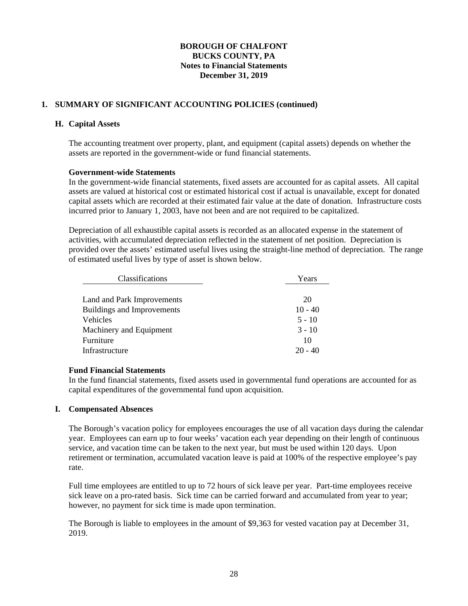# **1. SUMMARY OF SIGNIFICANT ACCOUNTING POLICIES (continued)**

### **H. Capital Assets**

The accounting treatment over property, plant, and equipment (capital assets) depends on whether the assets are reported in the government-wide or fund financial statements.

#### **Government-wide Statements**

In the government-wide financial statements, fixed assets are accounted for as capital assets. All capital assets are valued at historical cost or estimated historical cost if actual is unavailable, except for donated capital assets which are recorded at their estimated fair value at the date of donation. Infrastructure costs incurred prior to January 1, 2003, have not been and are not required to be capitalized.

Depreciation of all exhaustible capital assets is recorded as an allocated expense in the statement of activities, with accumulated depreciation reflected in the statement of net position. Depreciation is provided over the assets' estimated useful lives using the straight-line method of depreciation. The range of estimated useful lives by type of asset is shown below.

| Classifications            | Years     |  |  |
|----------------------------|-----------|--|--|
|                            |           |  |  |
| Land and Park Improvements | 20        |  |  |
| Buildings and Improvements | $10 - 40$ |  |  |
| <b>Vehicles</b>            | $5 - 10$  |  |  |
| Machinery and Equipment    | $3 - 10$  |  |  |
| Furniture                  | 10        |  |  |
| Infrastructure             | $20 - 40$ |  |  |

#### **Fund Financial Statements**

In the fund financial statements, fixed assets used in governmental fund operations are accounted for as capital expenditures of the governmental fund upon acquisition.

#### **I. Compensated Absences**

The Borough's vacation policy for employees encourages the use of all vacation days during the calendar year. Employees can earn up to four weeks' vacation each year depending on their length of continuous service, and vacation time can be taken to the next year, but must be used within 120 days. Upon retirement or termination, accumulated vacation leave is paid at 100% of the respective employee's pay rate.

Full time employees are entitled to up to 72 hours of sick leave per year. Part-time employees receive sick leave on a pro-rated basis. Sick time can be carried forward and accumulated from year to year; however, no payment for sick time is made upon termination.

The Borough is liable to employees in the amount of \$9,363 for vested vacation pay at December 31, 2019.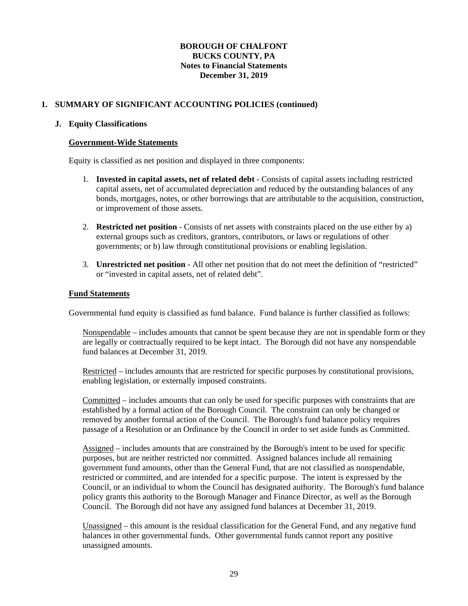# **1. SUMMARY OF SIGNIFICANT ACCOUNTING POLICIES (continued)**

#### **J. Equity Classifications**

#### **Government-Wide Statements**

Equity is classified as net position and displayed in three components:

- 1. **Invested in capital assets, net of related debt** Consists of capital assets including restricted capital assets, net of accumulated depreciation and reduced by the outstanding balances of any bonds, mortgages, notes, or other borrowings that are attributable to the acquisition, construction, or improvement of those assets.
- 2. **Restricted net position** Consists of net assets with constraints placed on the use either by a) external groups such as creditors, grantors, contributors, or laws or regulations of other governments; or b) law through constitutional provisions or enabling legislation.
- 3. **Unrestricted net position** All other net position that do not meet the definition of "restricted" or "invested in capital assets, net of related debt".

#### **Fund Statements**

Governmental fund equity is classified as fund balance. Fund balance is further classified as follows:

Nonspendable – includes amounts that cannot be spent because they are not in spendable form or they are legally or contractually required to be kept intact. The Borough did not have any nonspendable fund balances at December 31, 2019.

Restricted – includes amounts that are restricted for specific purposes by constitutional provisions, enabling legislation, or externally imposed constraints.

Committed – includes amounts that can only be used for specific purposes with constraints that are established by a formal action of the Borough Council. The constraint can only be changed or removed by another formal action of the Council. The Borough's fund balance policy requires passage of a Resolution or an Ordinance by the Council in order to set aside funds as Committed.

Assigned – includes amounts that are constrained by the Borough's intent to be used for specific purposes, but are neither restricted nor committed. Assigned balances include all remaining government fund amounts, other than the General Fund, that are not classified as nonspendable, restricted or committed, and are intended for a specific purpose. The intent is expressed by the Council, or an individual to whom the Council has designated authority. The Borough's fund balance policy grants this authority to the Borough Manager and Finance Director, as well as the Borough Council. The Borough did not have any assigned fund balances at December 31, 2019.

Unassigned – this amount is the residual classification for the General Fund, and any negative fund balances in other governmental funds. Other governmental funds cannot report any positive unassigned amounts.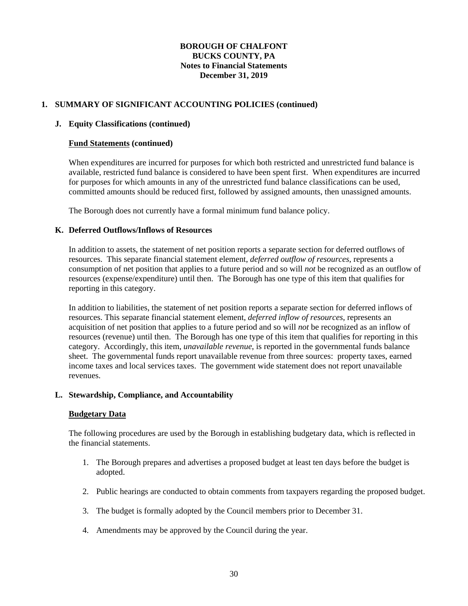# **1. SUMMARY OF SIGNIFICANT ACCOUNTING POLICIES (continued)**

# **J. Equity Classifications (continued)**

#### **Fund Statements (continued)**

When expenditures are incurred for purposes for which both restricted and unrestricted fund balance is available, restricted fund balance is considered to have been spent first. When expenditures are incurred for purposes for which amounts in any of the unrestricted fund balance classifications can be used, committed amounts should be reduced first, followed by assigned amounts, then unassigned amounts.

The Borough does not currently have a formal minimum fund balance policy.

#### **K. Deferred Outflows/Inflows of Resources**

In addition to assets, the statement of net position reports a separate section for deferred outflows of resources. This separate financial statement element, *deferred outflow of resources*, represents a consumption of net position that applies to a future period and so will *not* be recognized as an outflow of resources (expense/expenditure) until then. The Borough has one type of this item that qualifies for reporting in this category.

In addition to liabilities, the statement of net position reports a separate section for deferred inflows of resources. This separate financial statement element, *deferred inflow of resources*, represents an acquisition of net position that applies to a future period and so will *not* be recognized as an inflow of resources (revenue) until then. The Borough has one type of this item that qualifies for reporting in this category. Accordingly, this item, *unavailable revenue*, is reported in the governmental funds balance sheet. The governmental funds report unavailable revenue from three sources: property taxes, earned income taxes and local services taxes. The government wide statement does not report unavailable revenues.

### **L. Stewardship, Compliance, and Accountability**

### **Budgetary Data**

The following procedures are used by the Borough in establishing budgetary data, which is reflected in the financial statements.

- 1. The Borough prepares and advertises a proposed budget at least ten days before the budget is adopted.
- 2. Public hearings are conducted to obtain comments from taxpayers regarding the proposed budget.
- 3. The budget is formally adopted by the Council members prior to December 31.
- 4. Amendments may be approved by the Council during the year.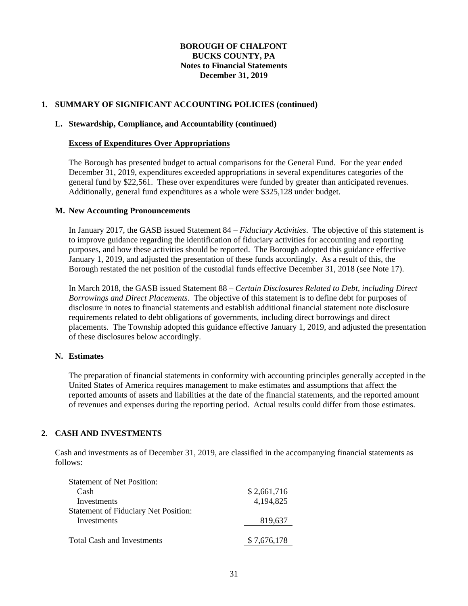# **1. SUMMARY OF SIGNIFICANT ACCOUNTING POLICIES (continued)**

#### **L. Stewardship, Compliance, and Accountability (continued)**

#### **Excess of Expenditures Over Appropriations**

The Borough has presented budget to actual comparisons for the General Fund. For the year ended December 31, 2019, expenditures exceeded appropriations in several expenditures categories of the general fund by \$22,561. These over expenditures were funded by greater than anticipated revenues. Additionally, general fund expenditures as a whole were \$325,128 under budget.

#### **M. New Accounting Pronouncements**

In January 2017, the GASB issued Statement 84 – *Fiduciary Activities*. The objective of this statement is to improve guidance regarding the identification of fiduciary activities for accounting and reporting purposes, and how these activities should be reported. The Borough adopted this guidance effective January 1, 2019, and adjusted the presentation of these funds accordingly. As a result of this, the Borough restated the net position of the custodial funds effective December 31, 2018 (see Note 17).

In March 2018, the GASB issued Statement 88 – *Certain Disclosures Related to Debt, including Direct Borrowings and Direct Placements*. The objective of this statement is to define debt for purposes of disclosure in notes to financial statements and establish additional financial statement note disclosure requirements related to debt obligations of governments, including direct borrowings and direct placements. The Township adopted this guidance effective January 1, 2019, and adjusted the presentation of these disclosures below accordingly.

#### **N. Estimates**

The preparation of financial statements in conformity with accounting principles generally accepted in the United States of America requires management to make estimates and assumptions that affect the reported amounts of assets and liabilities at the date of the financial statements, and the reported amount of revenues and expenses during the reporting period. Actual results could differ from those estimates.

### **2. CASH AND INVESTMENTS**

Cash and investments as of December 31, 2019, are classified in the accompanying financial statements as follows:

| <b>Statement of Net Position:</b>           |             |
|---------------------------------------------|-------------|
| Cash                                        | \$2,661,716 |
| Investments                                 | 4,194,825   |
| <b>Statement of Fiduciary Net Position:</b> |             |
| Investments                                 | 819,637     |
|                                             |             |
| <b>Total Cash and Investments</b>           | \$7,676,178 |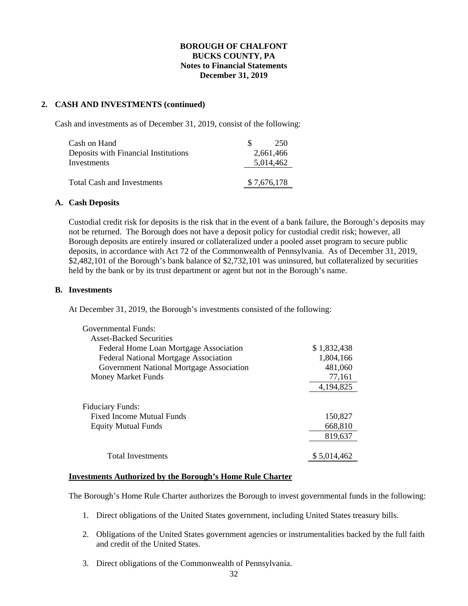### **2. CASH AND INVESTMENTS (continued)**

Cash and investments as of December 31, 2019, consist of the following:

| Cash on Hand<br>Deposits with Financial Institutions<br>Investments | 250<br>2,661,466<br>5,014,462 |
|---------------------------------------------------------------------|-------------------------------|
| <b>Total Cash and Investments</b>                                   | \$7,676,178                   |

#### **A. Cash Deposits**

Custodial credit risk for deposits is the risk that in the event of a bank failure, the Borough's deposits may not be returned. The Borough does not have a deposit policy for custodial credit risk; however, all Borough deposits are entirely insured or collateralized under a pooled asset program to secure public deposits, in accordance with Act 72 of the Commonwealth of Pennsylvania. As of December 31, 2019, \$2,482,101 of the Borough's bank balance of \$2,732,101 was uninsured, but collateralized by securities held by the bank or by its trust department or agent but not in the Borough's name.

#### **B. Investments**

At December 31, 2019, the Borough's investments consisted of the following:

| Governmental Funds:                          |             |
|----------------------------------------------|-------------|
| <b>Asset-Backed Securities</b>               |             |
| Federal Home Loan Mortgage Association       | \$1,832,438 |
| <b>Federal National Mortgage Association</b> | 1,804,166   |
| Government National Mortgage Association     | 481,060     |
| Money Market Funds                           | 77,161      |
|                                              | 4,194,825   |
|                                              |             |
| <b>Fiduciary Funds:</b>                      |             |
| Fixed Income Mutual Funds                    | 150,827     |
| <b>Equity Mutual Funds</b>                   | 668,810     |
|                                              | 819,637     |
|                                              |             |
| <b>Total Investments</b>                     | \$5,014,462 |
|                                              |             |

#### **Investments Authorized by the Borough's Home Rule Charter**

The Borough's Home Rule Charter authorizes the Borough to invest governmental funds in the following:

- 1. Direct obligations of the United States government, including United States treasury bills.
- 2. Obligations of the United States government agencies or instrumentalities backed by the full faith and credit of the United States.
- 3. Direct obligations of the Commonwealth of Pennsylvania.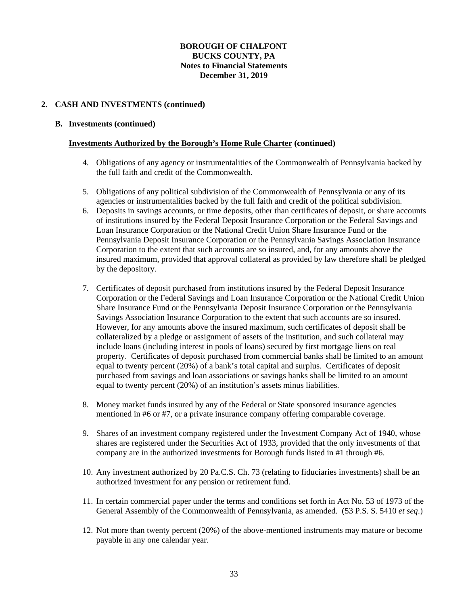# **2. CASH AND INVESTMENTS (continued)**

### **B. Investments (continued)**

# **Investments Authorized by the Borough's Home Rule Charter (continued)**

- 4. Obligations of any agency or instrumentalities of the Commonwealth of Pennsylvania backed by the full faith and credit of the Commonwealth.
- 5. Obligations of any political subdivision of the Commonwealth of Pennsylvania or any of its agencies or instrumentalities backed by the full faith and credit of the political subdivision.
- 6. Deposits in savings accounts, or time deposits, other than certificates of deposit, or share accounts of institutions insured by the Federal Deposit Insurance Corporation or the Federal Savings and Loan Insurance Corporation or the National Credit Union Share Insurance Fund or the Pennsylvania Deposit Insurance Corporation or the Pennsylvania Savings Association Insurance Corporation to the extent that such accounts are so insured, and, for any amounts above the insured maximum, provided that approval collateral as provided by law therefore shall be pledged by the depository.
- 7. Certificates of deposit purchased from institutions insured by the Federal Deposit Insurance Corporation or the Federal Savings and Loan Insurance Corporation or the National Credit Union Share Insurance Fund or the Pennsylvania Deposit Insurance Corporation or the Pennsylvania Savings Association Insurance Corporation to the extent that such accounts are so insured. However, for any amounts above the insured maximum, such certificates of deposit shall be collateralized by a pledge or assignment of assets of the institution, and such collateral may include loans (including interest in pools of loans) secured by first mortgage liens on real property. Certificates of deposit purchased from commercial banks shall be limited to an amount equal to twenty percent (20%) of a bank's total capital and surplus. Certificates of deposit purchased from savings and loan associations or savings banks shall be limited to an amount equal to twenty percent (20%) of an institution's assets minus liabilities.
- 8. Money market funds insured by any of the Federal or State sponsored insurance agencies mentioned in #6 or #7, or a private insurance company offering comparable coverage.
- 9. Shares of an investment company registered under the Investment Company Act of 1940, whose shares are registered under the Securities Act of 1933, provided that the only investments of that company are in the authorized investments for Borough funds listed in #1 through #6.
- 10. Any investment authorized by 20 Pa.C.S. Ch. 73 (relating to fiduciaries investments) shall be an authorized investment for any pension or retirement fund.
- 11. In certain commercial paper under the terms and conditions set forth in Act No. 53 of 1973 of the General Assembly of the Commonwealth of Pennsylvania, as amended. (53 P.S. S. 5410 *et seq*.)
- 12. Not more than twenty percent (20%) of the above-mentioned instruments may mature or become payable in any one calendar year.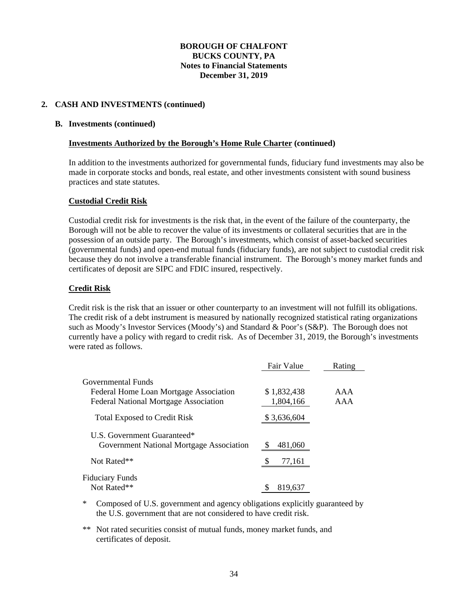# **2. CASH AND INVESTMENTS (continued)**

#### **B. Investments (continued)**

# **Investments Authorized by the Borough's Home Rule Charter (continued)**

In addition to the investments authorized for governmental funds, fiduciary fund investments may also be made in corporate stocks and bonds, real estate, and other investments consistent with sound business practices and state statutes.

### **Custodial Credit Risk**

Custodial credit risk for investments is the risk that, in the event of the failure of the counterparty, the Borough will not be able to recover the value of its investments or collateral securities that are in the possession of an outside party. The Borough's investments, which consist of asset-backed securities (governmental funds) and open-end mutual funds (fiduciary funds), are not subject to custodial credit risk because they do not involve a transferable financial instrument. The Borough's money market funds and certificates of deposit are SIPC and FDIC insured, respectively.

# **Credit Risk**

Credit risk is the risk that an issuer or other counterparty to an investment will not fulfill its obligations. The credit risk of a debt instrument is measured by nationally recognized statistical rating organizations such as Moody's Investor Services (Moody's) and Standard & Poor's (S&P). The Borough does not currently have a policy with regard to credit risk. As of December 31, 2019, the Borough's investments were rated as follows.

|                                                                         | Fair Value  | Rating |
|-------------------------------------------------------------------------|-------------|--------|
| Governmental Funds                                                      |             |        |
| Federal Home Loan Mortgage Association                                  | \$1,832,438 | AAA    |
| <b>Federal National Mortgage Association</b>                            | 1,804,166   | AAA    |
| <b>Total Exposed to Credit Risk</b>                                     | \$3,636,604 |        |
| U.S. Government Guaranteed*<br>Government National Mortgage Association | 481,060     |        |
| Not Rated**                                                             | 77,161      |        |
| <b>Fiduciary Funds</b><br>Not Rated**                                   | 819,637     |        |
|                                                                         |             |        |

\* Composed of U.S. government and agency obligations explicitly guaranteed by the U.S. government that are not considered to have credit risk.

\*\* Not rated securities consist of mutual funds, money market funds, and certificates of deposit.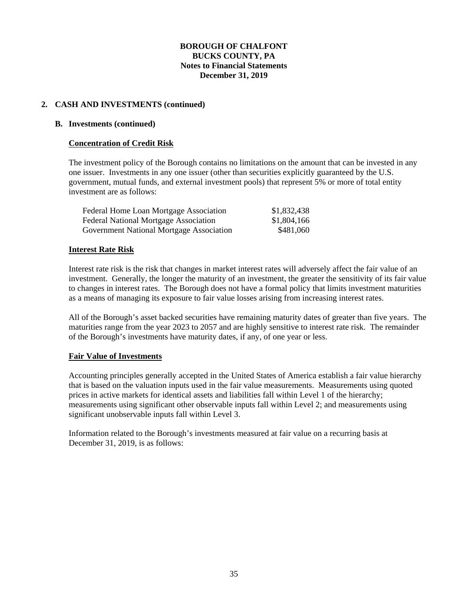# **2. CASH AND INVESTMENTS (continued)**

### **B. Investments (continued)**

# **Concentration of Credit Risk**

The investment policy of the Borough contains no limitations on the amount that can be invested in any one issuer. Investments in any one issuer (other than securities explicitly guaranteed by the U.S. government, mutual funds, and external investment pools) that represent 5% or more of total entity investment are as follows:

| Federal Home Loan Mortgage Association       | \$1,832,438 |
|----------------------------------------------|-------------|
| <b>Federal National Mortgage Association</b> | \$1,804,166 |
| Government National Mortgage Association     | \$481,060   |

### **Interest Rate Risk**

Interest rate risk is the risk that changes in market interest rates will adversely affect the fair value of an investment. Generally, the longer the maturity of an investment, the greater the sensitivity of its fair value to changes in interest rates. The Borough does not have a formal policy that limits investment maturities as a means of managing its exposure to fair value losses arising from increasing interest rates.

All of the Borough's asset backed securities have remaining maturity dates of greater than five years. The maturities range from the year 2023 to 2057 and are highly sensitive to interest rate risk. The remainder of the Borough's investments have maturity dates, if any, of one year or less.

### **Fair Value of Investments**

Accounting principles generally accepted in the United States of America establish a fair value hierarchy that is based on the valuation inputs used in the fair value measurements. Measurements using quoted prices in active markets for identical assets and liabilities fall within Level 1 of the hierarchy; measurements using significant other observable inputs fall within Level 2; and measurements using significant unobservable inputs fall within Level 3.

Information related to the Borough's investments measured at fair value on a recurring basis at December 31, 2019, is as follows: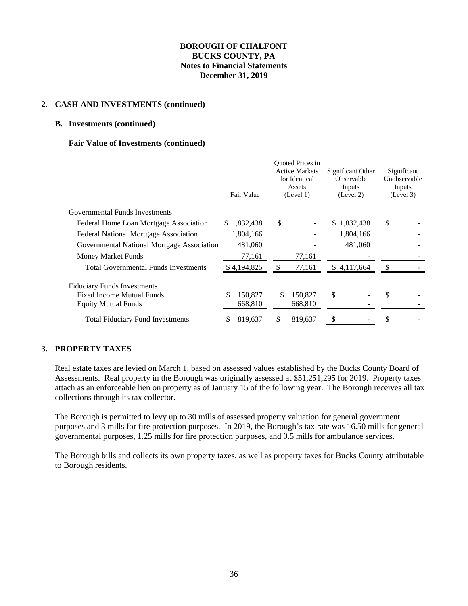### **2. CASH AND INVESTMENTS (continued)**

# **B. Investments (continued)**

# **Fair Value of Investments (continued)**

|                                             | Fair Value       | <b>Ouoted Prices in</b><br><b>Active Markets</b><br>for Identical<br>Assets<br>(Level 1) | Significant Other<br>Observable<br>Inputs<br>(Level 2) | Significant<br>Unobservable<br>Inputs<br>(Level 3) |
|---------------------------------------------|------------------|------------------------------------------------------------------------------------------|--------------------------------------------------------|----------------------------------------------------|
| Governmental Funds Investments              |                  |                                                                                          |                                                        |                                                    |
| Federal Home Loan Mortgage Association      | 1,832,438<br>SS. | \$                                                                                       | \$1,832,438                                            | \$                                                 |
| Federal National Mortgage Association       | 1,804,166        |                                                                                          | 1,804,166                                              |                                                    |
| Governmental National Mortgage Association  | 481,060          |                                                                                          | 481,060                                                |                                                    |
| Money Market Funds                          | 77,161           | 77,161                                                                                   |                                                        |                                                    |
| <b>Total Governmental Funds Investments</b> | \$4,194,825      | \$<br>77,161                                                                             | \$4,117,664                                            | \$                                                 |
| <b>Fiduciary Funds Investments</b>          |                  |                                                                                          |                                                        |                                                    |
| <b>Fixed Income Mutual Funds</b>            | \$<br>150,827    | \$.<br>150,827                                                                           | \$                                                     | \$                                                 |
| <b>Equity Mutual Funds</b>                  | 668,810          | 668,810                                                                                  |                                                        |                                                    |
| <b>Total Fiduciary Fund Investments</b>     | 819,637          | 819,637<br>S                                                                             | \$                                                     |                                                    |

# **3. PROPERTY TAXES**

Real estate taxes are levied on March 1, based on assessed values established by the Bucks County Board of Assessments. Real property in the Borough was originally assessed at \$51,251,295 for 2019. Property taxes attach as an enforceable lien on property as of January 15 of the following year. The Borough receives all tax collections through its tax collector.

The Borough is permitted to levy up to 30 mills of assessed property valuation for general government purposes and 3 mills for fire protection purposes. In 2019, the Borough's tax rate was 16.50 mills for general governmental purposes, 1.25 mills for fire protection purposes, and 0.5 mills for ambulance services.

The Borough bills and collects its own property taxes, as well as property taxes for Bucks County attributable to Borough residents.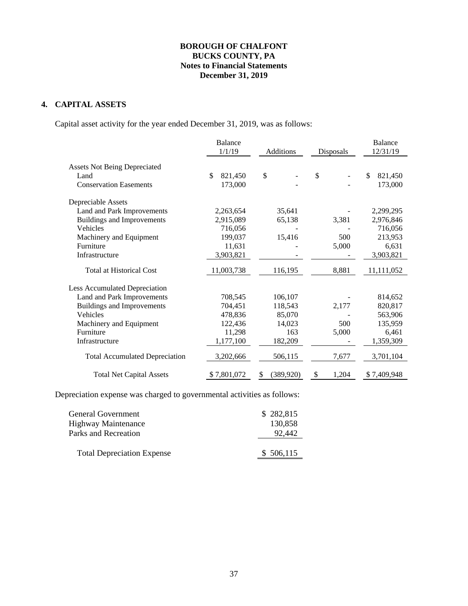# **4. CAPITAL ASSETS**

Capital asset activity for the year ended December 31, 2019, was as follows:

|                                       | Balance<br>1/1/19 | <b>Additions</b> | Disposals   | <b>Balance</b><br>12/31/19 |
|---------------------------------------|-------------------|------------------|-------------|----------------------------|
| <b>Assets Not Being Depreciated</b>   |                   |                  |             |                            |
| Land                                  | \$<br>821,450     | \$               | \$          | \$.<br>821,450             |
| <b>Conservation Easements</b>         | 173,000           |                  |             | 173,000                    |
| Depreciable Assets                    |                   |                  |             |                            |
| Land and Park Improvements            | 2,263,654         | 35,641           |             | 2,299,295                  |
| <b>Buildings and Improvements</b>     | 2,915,089         | 65,138           | 3,381       | 2,976,846                  |
| Vehicles                              | 716,056           |                  |             | 716,056                    |
| Machinery and Equipment               | 199,037           | 15,416           | 500         | 213,953                    |
| Furniture                             | 11,631            |                  | 5,000       | 6,631                      |
| Infrastructure                        | 3,903,821         |                  |             | 3,903,821                  |
| <b>Total at Historical Cost</b>       | 11,003,738        | 116,195          | 8,881       | 11,111,052                 |
| Less Accumulated Depreciation         |                   |                  |             |                            |
| Land and Park Improvements            | 708,545           | 106,107          |             | 814,652                    |
| <b>Buildings and Improvements</b>     | 704,451           | 118,543          | 2,177       | 820,817                    |
| Vehicles                              | 478,836           | 85,070           |             | 563,906                    |
| Machinery and Equipment               | 122,436           | 14,023           | 500         | 135,959                    |
| Furniture                             | 11,298            | 163              | 5,000       | 6,461                      |
| Infrastructure                        | 1,177,100         | 182,209          |             | 1,359,309                  |
| <b>Total Accumulated Depreciation</b> | 3,202,666         | 506,115          | 7,677       | 3,701,104                  |
| <b>Total Net Capital Assets</b>       | \$7,801,072       | \$<br>(389, 920) | \$<br>1,204 | \$7,409,948                |

Depreciation expense was charged to governmental activities as follows:

| General Government                | \$282,815 |
|-----------------------------------|-----------|
| Highway Maintenance               | 130,858   |
| Parks and Recreation              | 92,442    |
|                                   |           |
| <b>Total Depreciation Expense</b> | \$506,115 |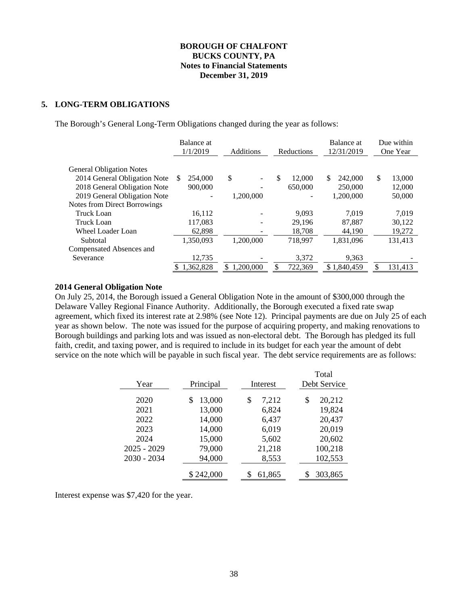# **5. LONG-TERM OBLIGATIONS**

The Borough's General Long-Term Obligations changed during the year as follows:

|                                 | Balance at<br>1/1/2019 | Additions        | Reductions    | Balance at<br>12/31/2019 | Due within<br>One Year |
|---------------------------------|------------------------|------------------|---------------|--------------------------|------------------------|
|                                 |                        |                  |               |                          |                        |
| <b>General Obligation Notes</b> |                        |                  |               |                          |                        |
| 2014 General Obligation Note    | 254,000<br>\$.         | \$<br>۰          | S<br>12,000   | \$<br>242,000            | $\mathbb{S}$<br>13,000 |
| 2018 General Obligation Note    | 900,000                |                  | 650,000       | 250,000                  | 12,000                 |
| 2019 General Obligation Note    |                        | 1,200,000        |               | 1,200,000                | 50,000                 |
| Notes from Direct Borrowings    |                        |                  |               |                          |                        |
| Truck Loan                      | 16,112                 |                  | 9,093         | 7.019                    | 7,019                  |
| Truck Loan                      | 117,083                |                  | 29.196        | 87.887                   | 30,122                 |
| <b>Wheel Loader Loan</b>        | 62,898                 |                  | 18,708        | 44,190                   | 19,272                 |
| Subtotal                        | 1,350,093              | 1,200,000        | 718,997       | 1,831,096                | 131,413                |
| Compensated Absences and        |                        |                  |               |                          |                        |
| Severance                       | 12,735                 |                  | 3,372         | 9,363                    |                        |
|                                 | 1,362,828<br>\$.       | \$.<br>1.200.000 | \$<br>722,369 | \$1,840,459              | \$<br>131,413          |

#### **2014 General Obligation Note**

On July 25, 2014, the Borough issued a General Obligation Note in the amount of \$300,000 through the Delaware Valley Regional Finance Authority. Additionally, the Borough executed a fixed rate swap agreement, which fixed its interest rate at 2.98% (see Note 12). Principal payments are due on July 25 of each year as shown below. The note was issued for the purpose of acquiring property, and making renovations to Borough buildings and parking lots and was issued as non-electoral debt. The Borough has pledged its full faith, credit, and taxing power, and is required to include in its budget for each year the amount of debt service on the note which will be payable in such fiscal year. The debt service requirements are as follows:

|               |             |             | Total        |
|---------------|-------------|-------------|--------------|
| Year          | Principal   | Interest    | Debt Service |
| 2020          | 13,000<br>S | \$<br>7,212 | 20,212<br>\$ |
| 2021          | 13,000      | 6,824       | 19,824       |
| 2022          | 14,000      | 6,437       | 20,437       |
| 2023          | 14,000      | 6,019       | 20,019       |
| 2024          | 15,000      | 5,602       | 20,602       |
| $2025 - 2029$ | 79,000      | 21,218      | 100,218      |
| $2030 - 2034$ | 94,000      | 8,553       | 102,553      |
|               | \$242,000   | 61,865      | 303,865<br>S |

Interest expense was \$7,420 for the year.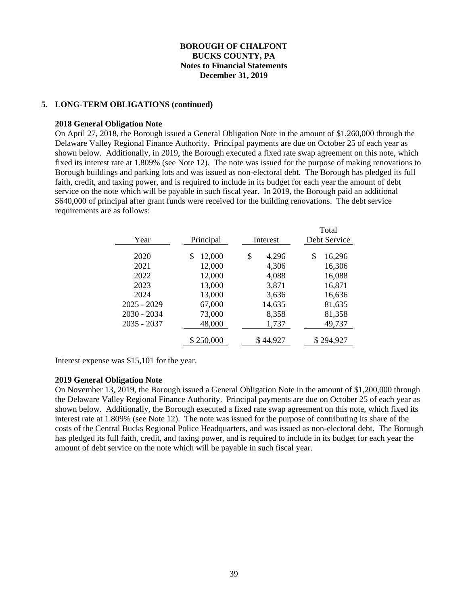#### **5. LONG-TERM OBLIGATIONS (continued)**

#### **2018 General Obligation Note**

On April 27, 2018, the Borough issued a General Obligation Note in the amount of \$1,260,000 through the Delaware Valley Regional Finance Authority. Principal payments are due on October 25 of each year as shown below. Additionally, in 2019, the Borough executed a fixed rate swap agreement on this note, which fixed its interest rate at 1.809% (see Note 12). The note was issued for the purpose of making renovations to Borough buildings and parking lots and was issued as non-electoral debt. The Borough has pledged its full faith, credit, and taxing power, and is required to include in its budget for each year the amount of debt service on the note which will be payable in such fiscal year. In 2019, the Borough paid an additional \$640,000 of principal after grant funds were received for the building renovations. The debt service requirements are as follows:

 $T_{\alpha\uparrow\alpha}1$ 

|               |             |             | i viai       |
|---------------|-------------|-------------|--------------|
| Year          | Principal   | Interest    | Debt Service |
|               |             |             |              |
| 2020          | 12,000<br>S | \$<br>4,296 | 16,296<br>\$ |
| 2021          | 12,000      | 4,306       | 16,306       |
| 2022          | 12,000      | 4,088       | 16,088       |
| 2023          | 13,000      | 3,871       | 16,871       |
| 2024          | 13,000      | 3,636       | 16,636       |
| $2025 - 2029$ | 67,000      | 14,635      | 81,635       |
| 2030 - 2034   | 73,000      | 8,358       | 81,358       |
| 2035 - 2037   | 48,000      | 1,737       | 49,737       |
|               | \$250,000   | \$44,927    | \$294,927    |
|               |             |             |              |

Interest expense was \$15,101 for the year.

#### **2019 General Obligation Note**

On November 13, 2019, the Borough issued a General Obligation Note in the amount of \$1,200,000 through the Delaware Valley Regional Finance Authority. Principal payments are due on October 25 of each year as shown below. Additionally, the Borough executed a fixed rate swap agreement on this note, which fixed its interest rate at 1.809% (see Note 12). The note was issued for the purpose of contributing its share of the costs of the Central Bucks Regional Police Headquarters, and was issued as non-electoral debt. The Borough has pledged its full faith, credit, and taxing power, and is required to include in its budget for each year the amount of debt service on the note which will be payable in such fiscal year.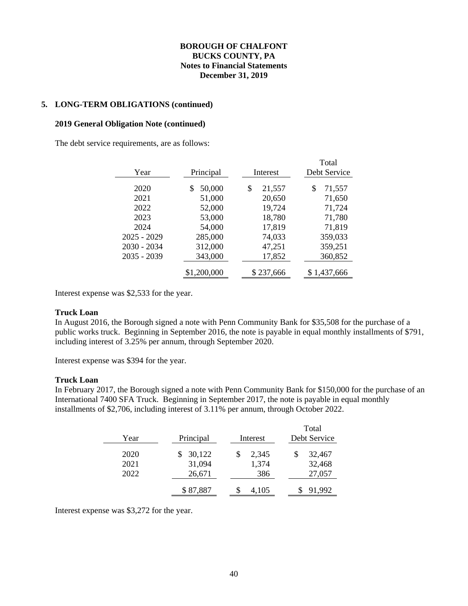#### **5. LONG-TERM OBLIGATIONS (continued)**

#### **2019 General Obligation Note (continued)**

The debt service requirements, are as follows:

| Year          | Principal   | Interest     | Total<br>Debt Service |
|---------------|-------------|--------------|-----------------------|
|               |             |              |                       |
| 2020          | 50,000<br>S | \$<br>21,557 | 71,557<br>\$          |
| 2021          | 51,000      | 20,650       | 71,650                |
| 2022          | 52,000      | 19,724       | 71,724                |
| 2023          | 53,000      | 18,780       | 71,780                |
| 2024          | 54,000      | 17,819       | 71,819                |
| $2025 - 2029$ | 285,000     | 74,033       | 359,033               |
| $2030 - 2034$ | 312,000     | 47,251       | 359,251               |
| $2035 - 2039$ | 343,000     | 17,852       | 360,852               |
|               |             |              |                       |
|               | \$1,200,000 | \$237,666    | \$1,437,666           |

Interest expense was \$2,533 for the year.

#### **Truck Loan**

In August 2016, the Borough signed a note with Penn Community Bank for \$35,508 for the purchase of a public works truck. Beginning in September 2016, the note is payable in equal monthly installments of \$791, including interest of 3.25% per annum, through September 2020.

Interest expense was \$394 for the year.

#### **Truck Loan**

In February 2017, the Borough signed a note with Penn Community Bank for \$150,000 for the purchase of an International 7400 SFA Truck. Beginning in September 2017, the note is payable in equal monthly installments of \$2,706, including interest of 3.11% per annum, through October 2022.

| Year         | Principal        | Interest       | Total<br>Debt Service |
|--------------|------------------|----------------|-----------------------|
| 2020<br>2021 | 30,122<br>31,094 | 2,345<br>1,374 | 32,467<br>32,468      |
| 2022         | 26,671           | 386            | 27,057                |
|              | \$87,887         | 4,105          | 91,992                |

Interest expense was \$3,272 for the year.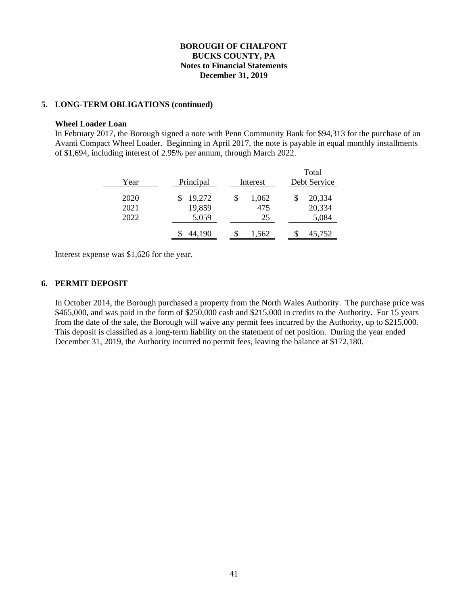#### **5. LONG-TERM OBLIGATIONS (continued)**

#### **Wheel Loader Loan**

In February 2017, the Borough signed a note with Penn Community Bank for \$94,313 for the purchase of an Avanti Compact Wheel Loader. Beginning in April 2017, the note is payable in equal monthly installments of \$1,694, including interest of 2.95% per annum, through March 2022.

|      |           |          | Total        |
|------|-----------|----------|--------------|
| Year | Principal | Interest | Debt Service |
| 2020 | 19,272    | 1,062    | 20,334       |
| 2021 | 19,859    | 475      | 20,334       |
| 2022 | 5,059     | 25       | 5,084        |
|      | 44.190    | 1,562    | 45,752       |

Interest expense was \$1,626 for the year.

#### **6. PERMIT DEPOSIT**

In October 2014, the Borough purchased a property from the North Wales Authority. The purchase price was \$465,000, and was paid in the form of \$250,000 cash and \$215,000 in credits to the Authority. For 15 years from the date of the sale, the Borough will waive any permit fees incurred by the Authority, up to \$215,000. This deposit is classified as a long-term liability on the statement of net position. During the year ended December 31, 2019, the Authority incurred no permit fees, leaving the balance at \$172,180.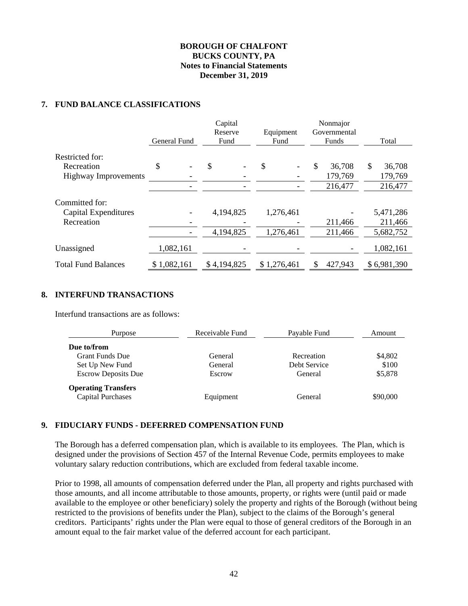#### **7. FUND BALANCE CLASSIFICATIONS**

|                             |              | Capital<br>Reserve | Equipment   | Nonmajor<br>Governmental |              |
|-----------------------------|--------------|--------------------|-------------|--------------------------|--------------|
|                             | General Fund | Fund               | Fund        | Funds                    | Total        |
| Restricted for:             |              |                    |             |                          |              |
| Recreation                  | \$           | \$                 | \$          | \$<br>36,708             | \$<br>36,708 |
| <b>Highway Improvements</b> |              |                    |             | 179,769                  | 179,769      |
|                             |              |                    |             | 216,477                  | 216,477      |
| Committed for:              |              |                    |             |                          |              |
| Capital Expenditures        |              | 4,194,825          | 1,276,461   |                          | 5,471,286    |
| Recreation                  |              |                    |             | 211,466                  | 211,466      |
|                             |              | 4,194,825          | 1,276,461   | 211,466                  | 5,682,752    |
| Unassigned                  | 1,082,161    |                    |             |                          | 1,082,161    |
| <b>Total Fund Balances</b>  | \$1,082,161  | \$4,194,825        | \$1,276,461 | \$<br>427,943            | \$6,981,390  |

### **8. INTERFUND TRANSACTIONS**

Interfund transactions are as follows:

| Purpose                    | Receivable Fund | Payable Fund | Amount   |
|----------------------------|-----------------|--------------|----------|
| Due to/from                |                 |              |          |
| <b>Grant Funds Due</b>     | General         | Recreation   | \$4,802  |
| Set Up New Fund            | General         | Debt Service | \$100    |
| <b>Escrow Deposits Due</b> | Escrow          | General      | \$5,878  |
| <b>Operating Transfers</b> |                 |              |          |
| <b>Capital Purchases</b>   | Equipment       | General      | \$90,000 |

# **9. FIDUCIARY FUNDS - DEFERRED COMPENSATION FUND**

The Borough has a deferred compensation plan, which is available to its employees. The Plan, which is designed under the provisions of Section 457 of the Internal Revenue Code, permits employees to make voluntary salary reduction contributions, which are excluded from federal taxable income.

Prior to 1998, all amounts of compensation deferred under the Plan, all property and rights purchased with those amounts, and all income attributable to those amounts, property, or rights were (until paid or made available to the employee or other beneficiary) solely the property and rights of the Borough (without being restricted to the provisions of benefits under the Plan), subject to the claims of the Borough's general creditors. Participants' rights under the Plan were equal to those of general creditors of the Borough in an amount equal to the fair market value of the deferred account for each participant.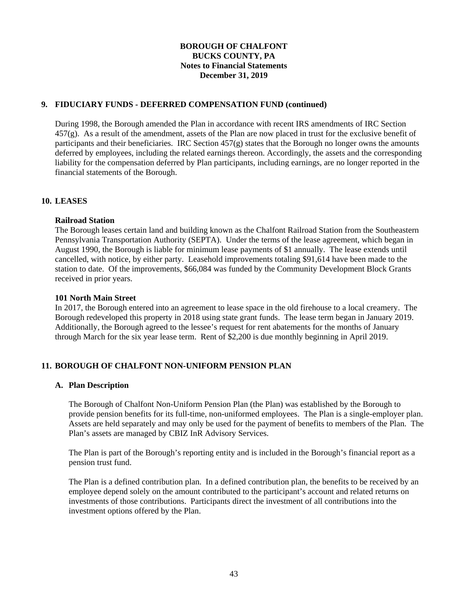# **9. FIDUCIARY FUNDS - DEFERRED COMPENSATION FUND (continued)**

During 1998, the Borough amended the Plan in accordance with recent IRS amendments of IRC Section 457(g). As a result of the amendment, assets of the Plan are now placed in trust for the exclusive benefit of participants and their beneficiaries. IRC Section  $457(g)$  states that the Borough no longer owns the amounts deferred by employees, including the related earnings thereon. Accordingly, the assets and the corresponding liability for the compensation deferred by Plan participants, including earnings, are no longer reported in the financial statements of the Borough.

### **10. LEASES**

### **Railroad Station**

The Borough leases certain land and building known as the Chalfont Railroad Station from the Southeastern Pennsylvania Transportation Authority (SEPTA). Under the terms of the lease agreement, which began in August 1990, the Borough is liable for minimum lease payments of \$1 annually. The lease extends until cancelled, with notice, by either party. Leasehold improvements totaling \$91,614 have been made to the station to date. Of the improvements, \$66,084 was funded by the Community Development Block Grants received in prior years.

#### **101 North Main Street**

In 2017, the Borough entered into an agreement to lease space in the old firehouse to a local creamery. The Borough redeveloped this property in 2018 using state grant funds. The lease term began in January 2019. Additionally, the Borough agreed to the lessee's request for rent abatements for the months of January through March for the six year lease term. Rent of \$2,200 is due monthly beginning in April 2019.

### **11. BOROUGH OF CHALFONT NON-UNIFORM PENSION PLAN**

### **A. Plan Description**

The Borough of Chalfont Non-Uniform Pension Plan (the Plan) was established by the Borough to provide pension benefits for its full-time, non-uniformed employees. The Plan is a single-employer plan. Assets are held separately and may only be used for the payment of benefits to members of the Plan. The Plan's assets are managed by CBIZ InR Advisory Services.

The Plan is part of the Borough's reporting entity and is included in the Borough's financial report as a pension trust fund.

The Plan is a defined contribution plan. In a defined contribution plan, the benefits to be received by an employee depend solely on the amount contributed to the participant's account and related returns on investments of those contributions. Participants direct the investment of all contributions into the investment options offered by the Plan.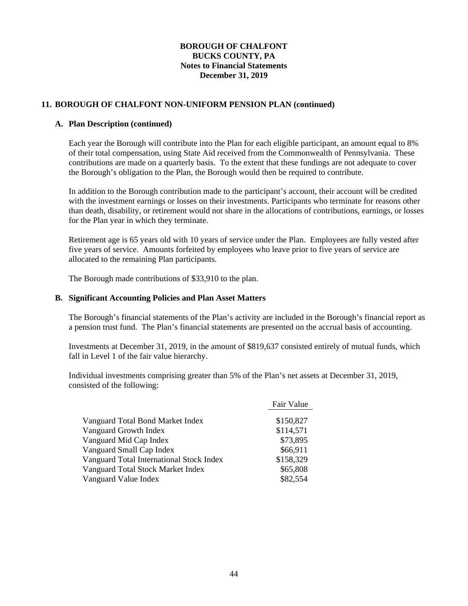# **11. BOROUGH OF CHALFONT NON-UNIFORM PENSION PLAN (continued)**

### **A. Plan Description (continued)**

Each year the Borough will contribute into the Plan for each eligible participant, an amount equal to 8% of their total compensation, using State Aid received from the Commonwealth of Pennsylvania. These contributions are made on a quarterly basis. To the extent that these fundings are not adequate to cover the Borough's obligation to the Plan, the Borough would then be required to contribute.

In addition to the Borough contribution made to the participant's account, their account will be credited with the investment earnings or losses on their investments. Participants who terminate for reasons other than death, disability, or retirement would not share in the allocations of contributions, earnings, or losses for the Plan year in which they terminate.

Retirement age is 65 years old with 10 years of service under the Plan. Employees are fully vested after five years of service. Amounts forfeited by employees who leave prior to five years of service are allocated to the remaining Plan participants.

The Borough made contributions of \$33,910 to the plan.

#### **B. Significant Accounting Policies and Plan Asset Matters**

The Borough's financial statements of the Plan's activity are included in the Borough's financial report as a pension trust fund. The Plan's financial statements are presented on the accrual basis of accounting.

Investments at December 31, 2019, in the amount of \$819,637 consisted entirely of mutual funds, which fall in Level 1 of the fair value hierarchy.

Individual investments comprising greater than 5% of the Plan's net assets at December 31, 2019, consisted of the following:

|                                          | Fair Value |
|------------------------------------------|------------|
| Vanguard Total Bond Market Index         | \$150,827  |
| Vanguard Growth Index                    | \$114,571  |
| Vanguard Mid Cap Index                   | \$73,895   |
| Vanguard Small Cap Index                 | \$66,911   |
| Vanguard Total International Stock Index | \$158,329  |
| Vanguard Total Stock Market Index        | \$65,808   |
| Vanguard Value Index                     | \$82,554   |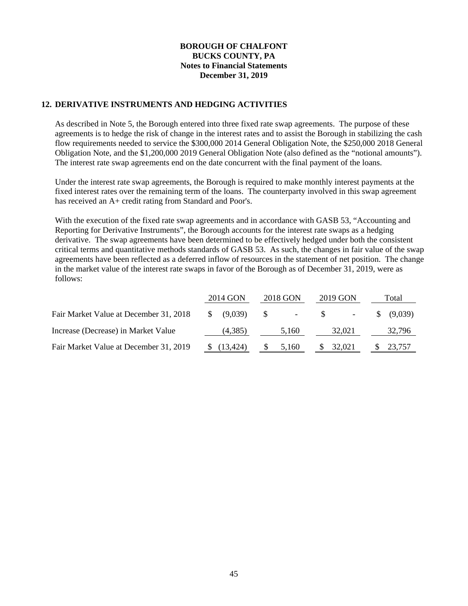#### **12. DERIVATIVE INSTRUMENTS AND HEDGING ACTIVITIES**

As described in Note 5, the Borough entered into three fixed rate swap agreements. The purpose of these agreements is to hedge the risk of change in the interest rates and to assist the Borough in stabilizing the cash flow requirements needed to service the \$300,000 2014 General Obligation Note, the \$250,000 2018 General Obligation Note, and the \$1,200,000 2019 General Obligation Note (also defined as the "notional amounts"). The interest rate swap agreements end on the date concurrent with the final payment of the loans.

Under the interest rate swap agreements, the Borough is required to make monthly interest payments at the fixed interest rates over the remaining term of the loans. The counterparty involved in this swap agreement has received an A+ credit rating from Standard and Poor's.

With the execution of the fixed rate swap agreements and in accordance with GASB 53, "Accounting and Reporting for Derivative Instruments", the Borough accounts for the interest rate swaps as a hedging derivative. The swap agreements have been determined to be effectively hedged under both the consistent critical terms and quantitative methods standards of GASB 53. As such, the changes in fair value of the swap agreements have been reflected as a deferred inflow of resources in the statement of net position. The change in the market value of the interest rate swaps in favor of the Borough as of December 31, 2019, were as follows:

|                                        | 2014 GON  | 2018 GON | 2019 GON     | Total   |
|----------------------------------------|-----------|----------|--------------|---------|
| Fair Market Value at December 31, 2018 | (9,039)   | -85      | $\mathbb{S}$ | (9,039) |
| Increase (Decrease) in Market Value    | (4,385)   | 5,160    | 32,021       | 32,796  |
| Fair Market Value at December 31, 2019 | (13, 424) | 5,160    | 32,021       | 23,757  |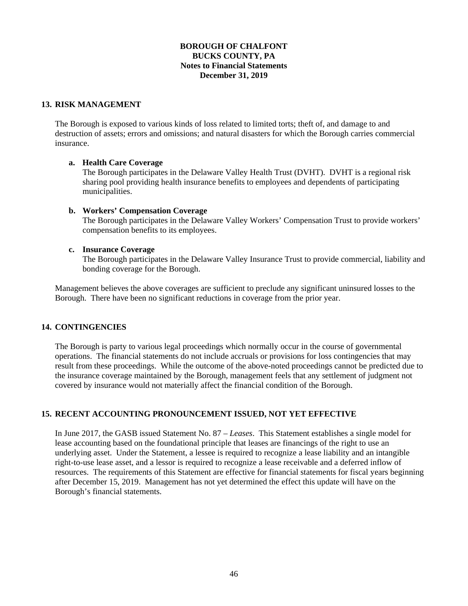#### **13. RISK MANAGEMENT**

The Borough is exposed to various kinds of loss related to limited torts; theft of, and damage to and destruction of assets; errors and omissions; and natural disasters for which the Borough carries commercial insurance.

### **a. Health Care Coverage**

The Borough participates in the Delaware Valley Health Trust (DVHT). DVHT is a regional risk sharing pool providing health insurance benefits to employees and dependents of participating municipalities.

#### **b. Workers' Compensation Coverage**

The Borough participates in the Delaware Valley Workers' Compensation Trust to provide workers' compensation benefits to its employees.

#### **c. Insurance Coverage**

The Borough participates in the Delaware Valley Insurance Trust to provide commercial, liability and bonding coverage for the Borough.

Management believes the above coverages are sufficient to preclude any significant uninsured losses to the Borough. There have been no significant reductions in coverage from the prior year.

### **14. CONTINGENCIES**

The Borough is party to various legal proceedings which normally occur in the course of governmental operations. The financial statements do not include accruals or provisions for loss contingencies that may result from these proceedings. While the outcome of the above-noted proceedings cannot be predicted due to the insurance coverage maintained by the Borough, management feels that any settlement of judgment not covered by insurance would not materially affect the financial condition of the Borough.

# **15. RECENT ACCOUNTING PRONOUNCEMENT ISSUED, NOT YET EFFECTIVE**

In June 2017, the GASB issued Statement No. 87 – *Leases*. This Statement establishes a single model for lease accounting based on the foundational principle that leases are financings of the right to use an underlying asset. Under the Statement, a lessee is required to recognize a lease liability and an intangible right-to-use lease asset, and a lessor is required to recognize a lease receivable and a deferred inflow of resources. The requirements of this Statement are effective for financial statements for fiscal years beginning after December 15, 2019. Management has not yet determined the effect this update will have on the Borough's financial statements.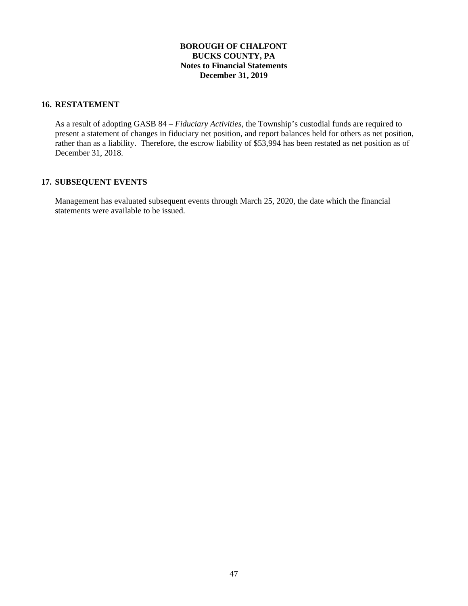#### **16. RESTATEMENT**

As a result of adopting GASB 84 – *Fiduciary Activities*, the Township's custodial funds are required to present a statement of changes in fiduciary net position, and report balances held for others as net position, rather than as a liability. Therefore, the escrow liability of \$53,994 has been restated as net position as of December 31, 2018.

### **17. SUBSEQUENT EVENTS**

Management has evaluated subsequent events through March 25, 2020, the date which the financial statements were available to be issued.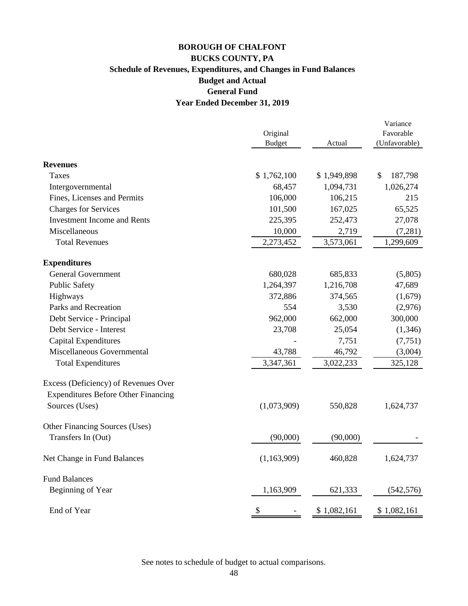# **Year Ended December 31, 2019 BOROUGH OF CHALFONT BUCKS COUNTY, PA Schedule of Revenues, Expenditures, and Changes in Fund Balances Budget and Actual General Fund**

|                                            |               |             | Variance      |
|--------------------------------------------|---------------|-------------|---------------|
|                                            | Original      |             | Favorable     |
|                                            | <b>Budget</b> | Actual      | (Unfavorable) |
| <b>Revenues</b>                            |               |             |               |
| Taxes                                      | \$1,762,100   | \$1,949,898 | 187,798<br>\$ |
| Intergovernmental                          | 68,457        | 1,094,731   | 1,026,274     |
| Fines, Licenses and Permits                | 106,000       | 106,215     | 215           |
| <b>Charges for Services</b>                | 101,500       | 167,025     | 65,525        |
| <b>Investment Income and Rents</b>         | 225,395       | 252,473     | 27,078        |
| Miscellaneous                              | 10,000        | 2,719       | (7, 281)      |
| <b>Total Revenues</b>                      | 2,273,452     | 3,573,061   | 1,299,609     |
| <b>Expenditures</b>                        |               |             |               |
| <b>General Government</b>                  | 680,028       | 685,833     | (5,805)       |
| <b>Public Safety</b>                       | 1,264,397     | 1,216,708   | 47,689        |
| Highways                                   | 372,886       | 374,565     | (1,679)       |
| Parks and Recreation                       | 554           | 3,530       | (2,976)       |
| Debt Service - Principal                   | 962,000       | 662,000     | 300,000       |
| Debt Service - Interest                    | 23,708        | 25,054      | (1,346)       |
| <b>Capital Expenditures</b>                |               | 7,751       | (7, 751)      |
| Miscellaneous Governmental                 | 43,788        | 46,792      | (3,004)       |
| <b>Total Expenditures</b>                  | 3,347,361     | 3,022,233   | 325,128       |
| Excess (Deficiency) of Revenues Over       |               |             |               |
| <b>Expenditures Before Other Financing</b> |               |             |               |
| Sources (Uses)                             | (1,073,909)   | 550,828     | 1,624,737     |
| Other Financing Sources (Uses)             |               |             |               |
| Transfers In (Out)                         | (90,000)      | (90,000)    |               |
| Net Change in Fund Balances                | (1,163,909)   | 460,828     | 1,624,737     |
| <b>Fund Balances</b>                       |               |             |               |
| Beginning of Year                          | 1,163,909     | 621,333     | (542, 576)    |
| End of Year                                | \$            | \$1,082,161 | \$1,082,161   |

See notes to schedule of budget to actual comparisons.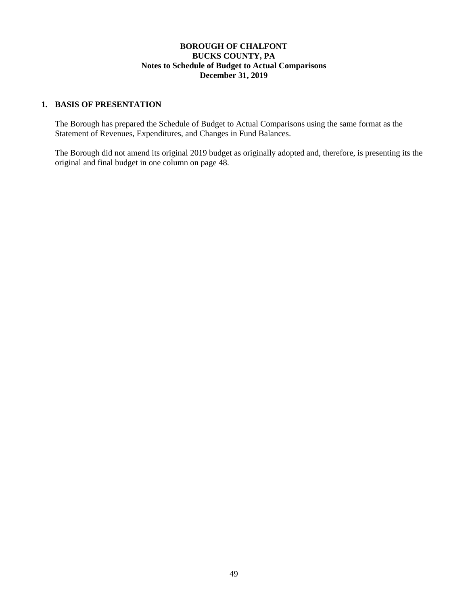# **BOROUGH OF CHALFONT BUCKS COUNTY, PA Notes to Schedule of Budget to Actual Comparisons December 31, 2019**

# **1. BASIS OF PRESENTATION**

The Borough has prepared the Schedule of Budget to Actual Comparisons using the same format as the Statement of Revenues, Expenditures, and Changes in Fund Balances.

The Borough did not amend its original 2019 budget as originally adopted and, therefore, is presenting its the original and final budget in one column on page 48.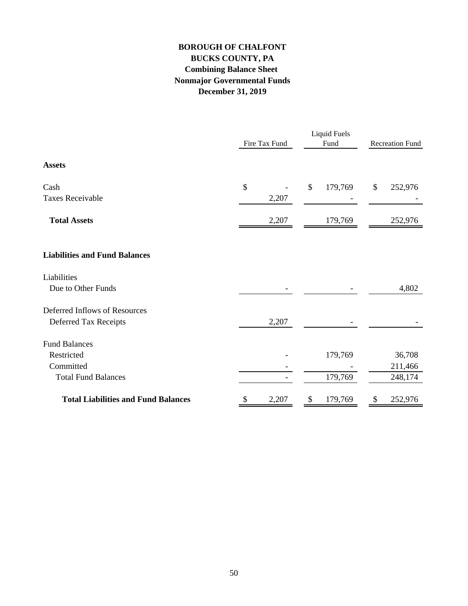# **BOROUGH OF CHALFONT Combining Balance Sheet Nonmajor Governmental Funds December 31, 2019 BUCKS COUNTY, PA**

|                                            | Fire Tax Fund | <b>Liquid Fuels</b><br>Fund | <b>Recreation Fund</b> |  |
|--------------------------------------------|---------------|-----------------------------|------------------------|--|
| <b>Assets</b>                              |               |                             |                        |  |
| Cash                                       | \$            | \$<br>179,769               | 252,976<br>\$          |  |
| <b>Taxes Receivable</b>                    | 2,207         |                             |                        |  |
| <b>Total Assets</b>                        | 2,207         | 179,769                     | 252,976                |  |
| <b>Liabilities and Fund Balances</b>       |               |                             |                        |  |
| Liabilities                                |               |                             |                        |  |
| Due to Other Funds                         |               |                             | 4,802                  |  |
| Deferred Inflows of Resources              |               |                             |                        |  |
| Deferred Tax Receipts                      | 2,207         |                             |                        |  |
| <b>Fund Balances</b>                       |               |                             |                        |  |
| Restricted                                 |               | 179,769                     | 36,708                 |  |
| Committed                                  |               |                             | 211,466                |  |
| <b>Total Fund Balances</b>                 |               | 179,769                     | 248,174                |  |
| <b>Total Liabilities and Fund Balances</b> | \$<br>2,207   | 179,769<br>\$               | 252,976<br>\$          |  |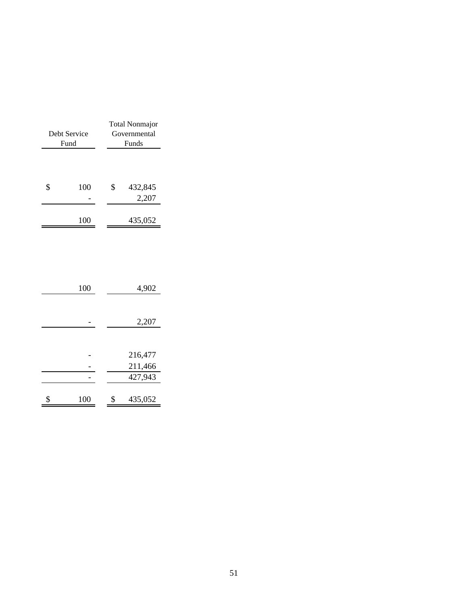| <b>Total Nonmajor</b><br>Debt Service<br>Governmental<br>Fund<br>Funds |    |         |
|------------------------------------------------------------------------|----|---------|
|                                                                        |    |         |
| \$<br>100                                                              | \$ | 432,845 |
|                                                                        |    | 2,207   |
| 100                                                                    |    | 435,052 |
|                                                                        |    |         |
|                                                                        |    |         |
|                                                                        |    |         |

| 100       | 4,902         |
|-----------|---------------|
|           |               |
|           | 2,207         |
|           |               |
|           | 216,477       |
|           | 211,466       |
|           | 427,943       |
| \$<br>100 | \$<br>435,052 |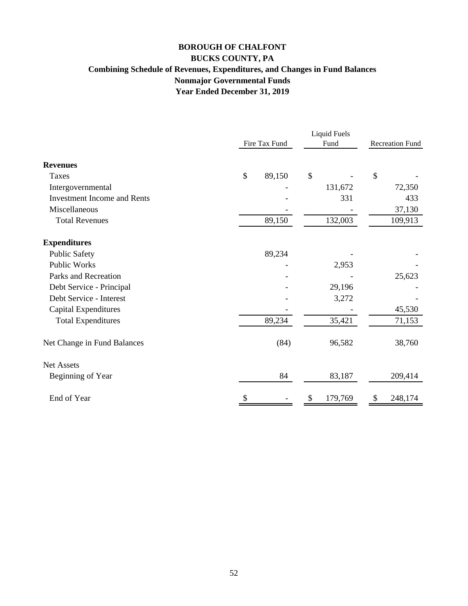# **BOROUGH OF CHALFONT BUCKS COUNTY, PA Combining Schedule of Revenues, Expenditures, and Changes in Fund Balances Nonmajor Governmental Funds Year Ended December 31, 2019**

|                                    | Fire Tax Fund |        | <b>Liquid Fuels</b><br>Fund |         | <b>Recreation Fund</b> |         |
|------------------------------------|---------------|--------|-----------------------------|---------|------------------------|---------|
| <b>Revenues</b>                    |               |        |                             |         |                        |         |
| <b>Taxes</b>                       | \$            | 89,150 | $\mathcal{S}$               |         | \$                     |         |
| Intergovernmental                  |               |        |                             | 131,672 |                        | 72,350  |
| <b>Investment Income and Rents</b> |               |        |                             | 331     |                        | 433     |
| Miscellaneous                      |               |        |                             |         |                        | 37,130  |
| <b>Total Revenues</b>              |               | 89,150 |                             | 132,003 |                        | 109,913 |
| <b>Expenditures</b>                |               |        |                             |         |                        |         |
| <b>Public Safety</b>               |               | 89,234 |                             |         |                        |         |
| <b>Public Works</b>                |               |        |                             | 2,953   |                        |         |
| Parks and Recreation               |               |        |                             |         |                        | 25,623  |
| Debt Service - Principal           |               |        |                             | 29,196  |                        |         |
| Debt Service - Interest            |               |        |                             | 3,272   |                        |         |
| Capital Expenditures               |               |        |                             |         |                        | 45,530  |
| <b>Total Expenditures</b>          |               | 89,234 |                             | 35,421  |                        | 71,153  |
| Net Change in Fund Balances        |               | (84)   |                             | 96,582  |                        | 38,760  |
| <b>Net Assets</b>                  |               |        |                             |         |                        |         |
| Beginning of Year                  |               | 84     |                             | 83,187  |                        | 209,414 |
| End of Year                        | \$            |        | \$                          | 179,769 | \$                     | 248,174 |